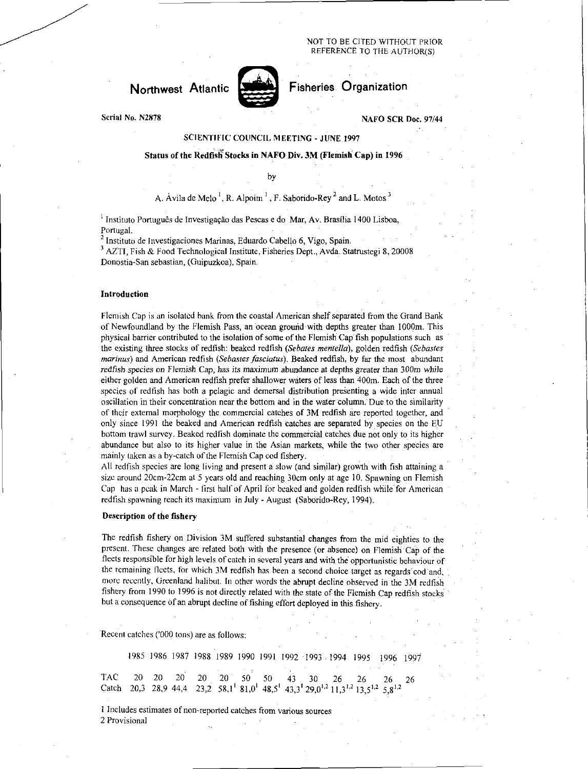### NOT TO BE CITED WITHOUT PRIOR REFERENCE TO THE AUTHOR(S)

# Northwest Atlantic Fisheries Organization



Serial No. N2878 NAFO SCR Doc. 97/44

## SCIENTIFIC COUNCIL MEETING - JUNE 1997

## Status of the Redfisli Stocks in NAFO Div. 3M (Flemish Cap) in 1996

by

## A. Ávila de Melo<sup>1</sup>, R. Alpoim<sup>1</sup>, F. Saborido-Rey<sup>2</sup> and L. Motos<sup>3</sup>

<sup>1</sup> Instituto Português de Investigação das Pescas e do Mar, Av. Brasília 1400 Lisboa, Portugal.

<sup>2</sup>Instituto de Investigaciones Marinas, Eduardo Cabello 6, Vigo, Spain.

<sup>3</sup> AZTI, Fish & Food Technological Institute, Fisheries Dept., Avda. Statrustegi 8, 20008 Donostia-San sebastian, (Guipuzkoa), Spain.

#### Introduction

Flemish Cap is an isolated bank from the coastal American shelf separated from the Grand Bank of Newfoundland by the Flemish Pass, an ocean ground with depths greater than 1000m. This physical barrier contributed to the isolation of some of the Flemish Cap fish populations such as the existing three stocks of redfish: beaked redfish *(Sebates mentella),* golden redfish *(Sebastes marinas)* and American redfish *(Sebastes fasciatus).* Beaked redfish, by far the most abundant *redfish* species on Flemish Cap, has its maximum abundance at depths greater than 300m while either golden and American redfish prefer shallower waters of less than 400m. Each of the three species of redfish has both a pelagic and demersal distribution presenting a wide inter annual oscillation in their concentration near the bottom and in the water column. Due to the similarity of their external morphology the commercial catches of 3M redfish are reported together, and only since 1991 the beaked and American redfish catches are separated by species on the EU bottom trawl survey. Beaked redfish dominate the commercial catches due not only to its higher abundance but also to its higher value in the Asian markets, while the two other species are mainly taken as a by-catch of the Flemish Cap cod fishery.

All redfish species are long living and present a slow (and similar) growth with fish attaining a size around 20cm-22cm at 5 years old and reaching 30cm only at age 10. Spawning on Flemish Cap has a peak in March - first half of April for beaked and golden redfish while for American redfish spawning reach its maximum in July - August (Saborido-Rey, 1994).

## Description of the fishery

The redfish fishery on Division 3M suffered substantial changes from the mid eighties to the present. These changes are related both with the presence (or absence) on Flemish Cap of the fleets responsible for high levels of catch in several years and with the opportunistic behaviour of the remaining fleets, for which 3M redfish has been a second choice target as regards cod and, more recently, Greenland halibut. In other words the abrupt decline observed in the 3M redfish fishery from 1990 to 1996 is not directly related with the state of the Flemish Cap redfish stocks but a consequence of an abrupt decline of fishing effort deployed in this fishery.

Recent catches ('000 tons) are as follows:

1985 1986 1987 1988 1989 1990 1991 1992 1993 1994 1995 1996 1997 TAC 20 20 20 20 20 50 50 43 30 26 26 26 26 Catch 20,3 28,9 44,4 23,2 58,1' 81,0' 48,5' 43,3' 29,0<sup>1,2</sup> 11,3<sup>1,2</sup> 13,5<sup>1,2</sup> 5,8<sup>1,2</sup>

1 Includes estimates of non-reported catches from various sources 2 Provisional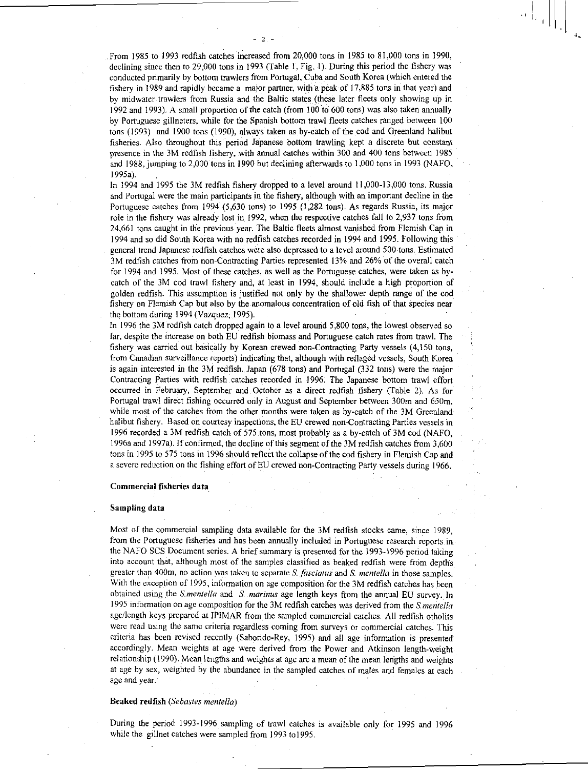From 1985 to 1993 redfish catches increased from 20,000 tons in 1985 to 81,000 tons in 1990, declining since then to 29,000 tons in 1993 (Table 1, Fig. 1). During this period the fishery was conducted primarily by bottom trawlers from Portugal, Cuba and South Korea (which entered the fishery in 1989 and rapidly became a major partner, with a peak of 17,885 tons in that year) and by midwater trawlers from Russia and the Baltic states (these later fleets only showing up in 1992 and 1993). A small proportion of the catch (from 100 'to 600 tons) was also taken annually by Portuguese gillneters, while for the Spanish bottom trawl fleets catches ranged between 100 tons (1993) and 1900 tons (1990), always taken as by-catch of the cod and Greenland halibut fisheries. Also throughout this period Japanese bottom trawling kept a discrete but constant presence in the 3M redfish fishery, with annual catches within 300 and 400 tons between 1985 and 1988, jumping to 2,000 tons in 1990 but declining afterwards to 1,000 tons in 1993 (NAFO, 1995a).

 $-2$ .

In 1994 and 1995 the 3M redfish fishery dropped to a level around 11,000-13,000 tons. Russia and Portugal were the main participants in the fishery, although with an important decline in the Portuguese catches from 1994 (5,630 tons) to 1995 (1,282 tons). As regards Russia, its major role in the fishery was already lost in 1992, when the respective catches fall to 2,937 tons from 24,661 tons caught in the previous year. The Baltic fleets almost vanished from Flemish Cap in 1994 and so did South Korea with no redfish catches recorded in 1994 and 1995. Following this general trend Japanese redfish catches were also depressed to a level around 500 tons. Estimated 3M redfish catches from non-Contracting Parties represented 13% and 26% of the overall catch for 1994 and 1995. Most of these catches, as well as the Portuguese catches, were taken as bycatch of the 3M cod trawl fishery and, at least in 1994, should include a high proportion of golden redfish. This assumption is justified not only by the shallower depth range of the cod fishery on Flemish Cap but also by the anomalous concentration of old fish of that species near the bottom during 1994 (Vazquez, 1995).

In 1996 the 3M redfish catch dropped again to a level around 5,800 tons, the lowest observed so far, despite the increase on both EU redfish biomass and Portuguese catch rates from trawl. The fishery was carried out basically by Korean crewed non-Contracting Party vessels (4,150 tons, from Canadian surveillance reports) indicating that, although with reflaged vessels, South Korea is again interested in the 3M redfish. Japan (678 tons) and Portugal (332 tons) were the major Contracting Parties with redfish catches recorded in 1996. The Japanese bottom trawl effort occurred in February, September and October as a direct redfish fishery (Table 2). As for Portugal trawl direct fishing occurred only in August and September between 300m and 650m, while most of the catches from the other months were taken as by-catch of the 3M Greenland halibut fishery. Based on courtesy inspections, the EU crewed non-Contracting Parties vessels in 1996 recorded a 3M redfish catch of 575 tons, most probably as a by-catch of 3M cod (NAFO, I996a and 1997a). If confirmed, the decline of this segment of the 3M redfish catches from 3,600 tons in 1995 to 575 tons in 1996 should reflect the collapse of the cod fishery in Flemish Cap and a severe reduction on the fishing effort of EU crewed non-Contracting Party vessels during 1966.

#### Commercial fisheries data

#### Sampling data

Most of the commercial sampling data available for the 3M redfish stocks came, since 1989, from the Portuguese fisheries and has been annually included in Portuguese research reports in the NAFO SCS Document series. A brief summary is presented for the 1993-1996 period taking into account that, although most of the samples classified as beaked redfish were from depths greater than 400m, no action was taken to separate *S faseimus* and *S. mentella* in those samples. With the exception of 1995, information on age composition for the 3M redfish catches has been obtained using the *Smentella* and *S marinus* age length keys from the annual EU survey. In 1995 information on age composition for the 3M redfish catches was derived from the *S. mentella*  age/length keys prepared at IPIMAR from the sampled commercial catches. All redfish otholits were read using the same criteria regardless coming from surveys or commercial catches. This criteria has been revised recently (Saborido-Rey, 1995) and all age information is presented accordingly. Mean weights at age were derived from the Power and Atkinson length-weight relationship (1990). Mean lengths and weights at age are a mean of the mean lengths and weights at age by sex, weighted by the abundance in the sampled catches of males and females at each age and year.

## Beaked redfish *(Se bastes mentella)*

During the period 1993-1996 sampling of trawl catches is available only for 1995 and 1996 while the gillnet catches were sampled from 1993 to 1995.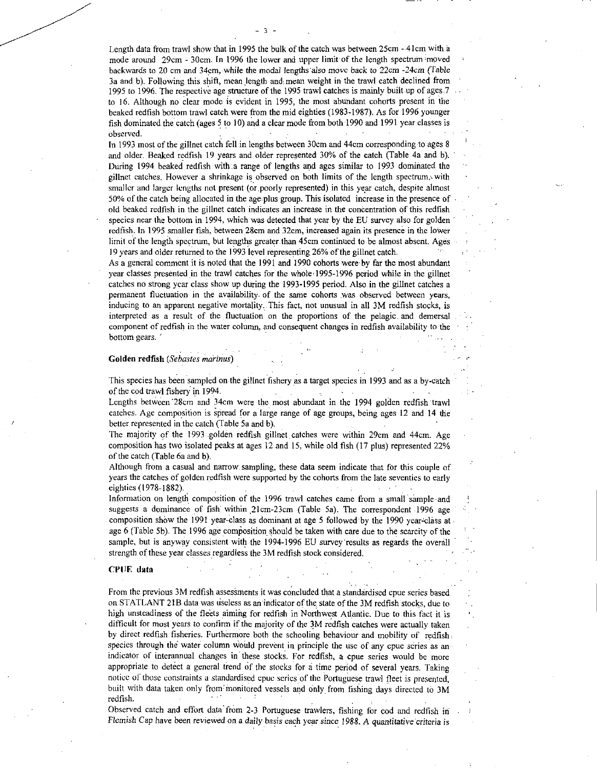• Length data from trawl show that in 1995 the bulk of the catch was between 25cm - 4Icm with a mode around 29cm - 30cm. In 1996 the lower and upper limit of the length spectrum moved backwards to 20 cm and 34cm, while the modal lengths also move back to 22cm -24cm (Table 3a and b). Following this shift, mean length and mean weight in the trawl catch declined from 1995 to 1996. The respective age structure of the 1995 trawl catches is mainly built up of ages to 16. Although no clear mode is evident in 1995, the most abundant cohorts present in the beaked redfish bottom trawl catch were from the mid eighties (1983-1987). As for 1996 younger fish dominated the catch (ages 5 to 10) and a clear mode from both 1990 and 1991 year classes is observed.

In 1993 most of the gillnet catch fell in lengths between 30cm and 44cm corresponding to ages 8 and older. Beaked redfish 19 years and older represented 30% of the catch (Table 4a and b). During 1994 beaked redfish with a range of lengths and ages similar to 1993 dominated the gillnet catches. However a shrinkage is observed on both limits of the length spectrum, with smaller and larger lengths not present (or.poorly represented) in this year catch, despite almost 50% of the catch being allocated in the age.plus group. This isolated increase in the presence of old beaked redfish in the gillnet catch indicates an increase in the concentration of this redfish species near the bottom in 1994, which was detected that year by the EU survey also for golden redfish. In 1995 smaller fish, between 28cm and 32cm, increased again its presence in the lower limit of the length spectrum, but lengths greater.than 45cm continued to be almost absent. Ages 19 years and older returned to the 1993 level representing 26% of the gillnet catch.

As a general comment it is noted that the 1991 and 1990 cohorts were by far the most abundant year classes presented in the trawl catches for the whole 1995-1996 period while in the gillnet catches no strong year class show up during the 1993-1995 period. Also in the gillnet catches a permanent fluctuation in the availability. of the same cohorts *was* observed between years, inducing to an apparent negative mortality. This fact, not unusual in all 3M redfish stocks, is interpreted as a result of the fluctuation on the proportions of the pelagic, and demersal component of redfish in the water column, and consequent changes in redfish availability to the bottom gears. '

### Golden redfish (Sebastes marinus)

This species has been sampled on the gillnet fishery as a target species in 1993 and as a by-catch of the cod trawl fishery. in 1994.

Lengths between '28cm and 34cm were the most abundant in the 1994 golden redfish Trawl catches. Age composition is Spread for a large range of age groups, being ages 12 and 14 the better represented in the catch (Table 5a and b).

The majority of the 1993 golden redfish gillnet catches were within 29cm and 44cm. Age composition has two isolated peaks at ages 12 and 15, while old fish (17 plus) represented 22% of the catch (Table 6a and b).

Although from a casual and narrow sampling, these data seem indicate that for this couple of years the catches of golden redfish were supported by the cohorts from the late seventies to early eighties (1978-1882).

Information on length composition of the 1996 trawl catches came from a small sample and suggests a dominance of fish within 21cm-23cm (Table 5a). The correspondent 1996 age composition show the 1991 year-class as dominant at age 5 followed by the 1990 year-class at age 6 (Table 5b). The 1996 age composition should be taken with care due to the scarcity of the sample, but is anyway consistent with the 1994-1996 EU survey 'results as regards the overall strength of these year classes regardless the 3M redfish stock considered.

#### CPUE data

From the previous 3M redfish assessments it was concluded that a standardised cpue series based on STATLANT 21B data was useless as an indicator of the state of the 3M redfish stocks, due to high unsteadiness of the fleets aiming for redfish in Northwest Atlantic. Due to this fact it is difficult for most years to confirm if the majority of the 3M redfish catches were actually taken by direct redfish fisheries. Furthermore both the schooling behaviour and mobility of redfish species through the water column would prevent in principle the use of any cpue series as an indicator of interannual changes in these stocks. For redfish, a cpue series would be more appropriate to detect a general trend of the stocks for a time period of several years. Taking notice of those constraints a standardised cpue series of the Portuguese trawl fleet is presented, built with data taken only from monitored vessels and only from fishing days directed to 3M redfish.

Observed catch and effort data from 2-3 Portuguese trawlers, fishing for cod and redfish in *Flemish Cap have been reviewed on a daily basis each year since 1988. A quantitative criteria is*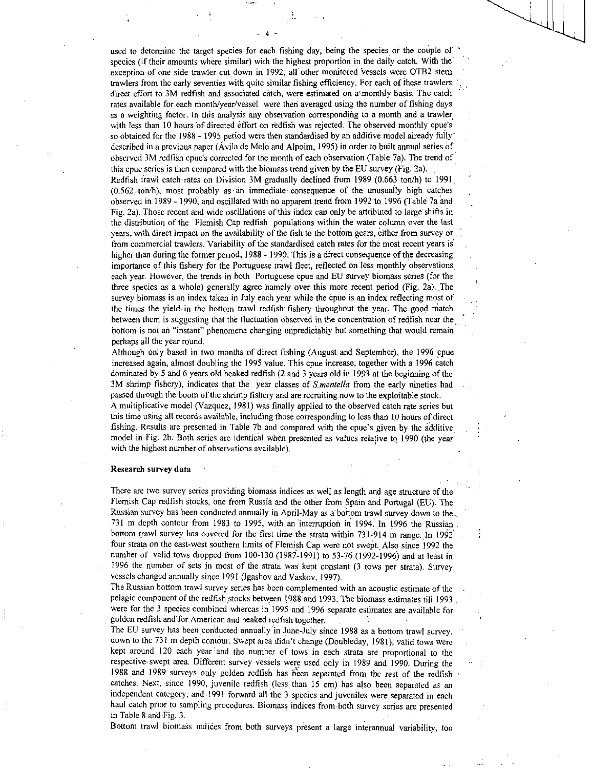used to determine the target species for each fishing day, being the species or the couple of ' species (if their amounts where similar) with the highest proportion in the daily catch. With the exception of one side trawler cut down in 1992, all other monitored vessels were OTB2 stern trawlers from the early seventies with quite similar fishing efficiency. For each of these trawlers direct effort to 3M redfish and associated catch, were estimated on a monthly basis. The catch rates available for each month/year/vessel were then averaged using the number of fishing days as a weighting factor. In' this analysis any observation corresponding to a month and a trawler. with less than 10 hours of directed effort on redfish was rejected. The observed monthly cpue's so obtained for the 1988 - 1995 period were then standardised by an additive model already fully' described in a previous paper (Avila de Melo and Alpoim, 1995) in order to built annual series of observed 3M redffsh cpue's corrected for the month of each observation (Table 7a). The trend of this cpue series is then compared with the biomass trend given by the EU survey (Fig. 2a).

Redtish trawl catch rates on Division 3M gradually declined from 1989 (0.663 ton/h) to 1991,  $(0.562 \cdot \text{ton/h})$ , most probably as an immediate consequence of the unusually high catches observed in 1989 - 1990, and oscillated with no apparent trend from 1992 to 1996 (Table 7a and Fig. 2a). Those recent and wide oscillations of this index can only be attributed to large shifts in the distribution of the Flemish Cap redfish populations within the water column over the last years, with direct impact on the availability of the fish to the bottom gears, either from survey or from commercial trawlers. Variability of the standardised catch rates for the most recent years is higher than during the former period, 1988 - 1990. This is a direct consequence of the decreasing importance of this fishery for the Portuguese trawl fleet, reflected on less monthly observations each year. However, the trends in both Portuguese cpue and EU survey biomass series (for the three species as a whole) generally agree 'namely over this more recent period (Fig. 2a). The survey biomass is an index taken in July each year while the cpue is an index reflecting most of the times the yield in the bottom trawl redfish- fishery throughout the year. The good match between them is suggesting that the fluctuation observed in the concentration of redfish near the bottom is not an "instant" phenomena changing unpredictably but something that would remain perhaps all the year round.

Although only based in two months of direct fishing (August and September), the 1996 cpue increased again, almost doubling the 1995 value. This cpue increase, together with a 1996 catch dominated by 5 and 6 years old beaked redfish (2 and 3 years old in 1993 at the beginning of the 3M shrimp fishery), indicates that the year classes of *S,mentella* from the early nineties had passed through the boom of the shrimp fishery and are recruiting now to the exploitable stock. A multiplicative model (Vazquez, 1981) was finally applied to the observed catch rate series but this time using all records available, including those corresponding to less than 10 hours of direct fishing. Results are presented in Table 7b and compared with the cpue's given by the additive / model in Fig. 2b. Both series are identical when presented as values relative to 1990 (the year with the highest number of observations available).

#### Research survey data •

There are two survey series providing biomass indices as well as length and age structure of the Flemish Cap redfish stocks, one from Russia and the other from Spain and Portugal (EU). The Russian survey has been conducted annually in April-May as a bottom trawl survey down to the. 731 m depth contour from 1983 to 1995, with an 'interruption in 1994. In 1996 the Russian . bottom trawl survey has covered for the first time the strata within 731-914 m range. In 1992 four strata on the east-west southern limits of Flemish Cap were not swept., Also since 1992 the number of valid tows dropped from 100-130 (1987-1991) to 53-76 (1992-1996) and at least in 1996 the number of sets in most of the strata was' kept constant (3 tows per strata). Survey vessels changed annually since 1991 (Igashov and Vaskov, 1997).

The Russian bottom trawl survey series has been complemented with an acoustic estimate of the pelagic component of the redfish stocks between 1988 and 1993. The biomass estimates till 1993 , were for the 3 species combined whereas in 1995 and 1996 separate estimates are available for golden redfish and for American and beaked redfish together.

The EU survey has been conducted annually in June-July since 1988 as a bottom trawl survey, down to the 731 m depth contour. Swept area didn't change (Doubleday, 1981), valid tows were kept around 120 each year and the number of tows in each strata are proportional to the respective , swept area. Different survey vessels were used only in 1989 and 1990. During the 1988 and 1989 surveys only golden redfish has been separated from the rest of the redfish catches. Next, since 1990, juvenile redfish (less than 15 cm) has also been separated as an independent category, and. 1991 forward all the 3 species and juveniles were separated in each haul catch prior to sampling procedures. Biomass indices from both survey series are presented in Table 8 and Fig. 3.

Bottom trawl biomass indiees from both surveys present a large interannual variability, too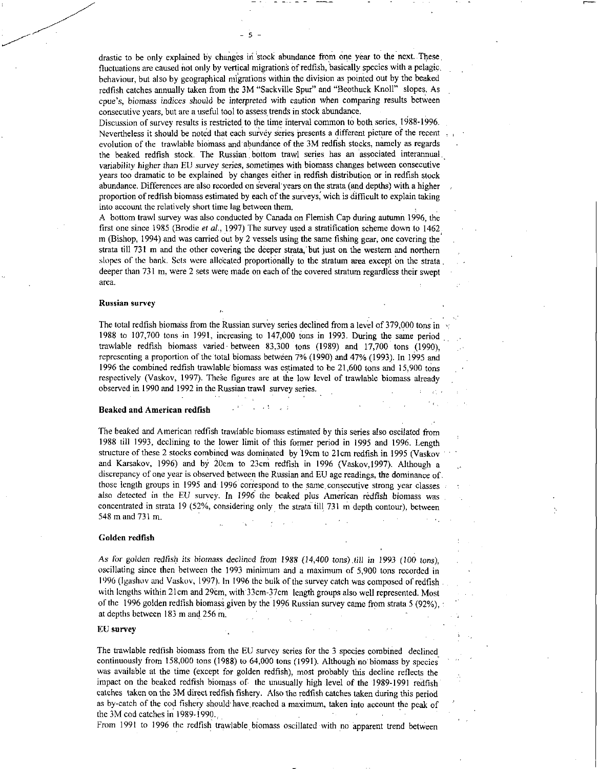drastic to be only explained by changes in 'stock abundance from one year to the next. These fluctuations are caused not only by vertical migrations of redfish, basically species with a pelagic, behaviour, but also by geographical migrations within the division as pointed out by the beaked redfish catches annually taken from the 3M "Sackville Spur" and "Beothuck Knoll" slopes. As cpue's, *biomass indices should be interpreted* with caution when comparing results between consecutive years, but are a useful tool to assess trends in stock abundance.

- 5 -

Discussion of survey results is restricted to the time interval common to both series, 1988-1996. Nevertheless it should be noted that each survey Series presents a different picture of the recent evolution of the trawlable biornass and'abundance of the 3M redfish stocks, namely as regards the beaked redfish stock. The Russian bottom trawl series has an associated interannual variability *higher* than EU survey series, sometimes with biomass changes between consecutive years too dramatic to be explained by changes either in redfish distribution or in redfish stock abundance. Differences are also recorded on several years on the strata (and depths) with a higher proportion of redfish biomass estimated by each of the surveys, wich is difficult to explain taking into account the relatively short time lag between them.

A bottom trawl survey was also conducted by Canada on Flemish Cap during autumn 1996, the first one since 1985 (Brodie *et al.*, 1997) The survey used a stratification scheme down to 1462 m (Bishop, 1994) and was carried out by 2 vessels using the same fishing gear, one covering the strata till 731 m and the other covering the deeper strata, but just on the western and northern slopes of the bank. Sets were allotated proportionally to the stratum area except on the strata, deeper than 731 m, were 2 sets were made on each of the covered stratum regardless their swept area.

### Russian survey

The total redfish biomass from the Russian survey series declined from a level of 379,000 tons in 1988 to 107,700 tons in 1991, increasing to 147,000 tons in 1993. During the same period trawlable redfish biomass varied between 83,300 tons (1989) and 17,700 tons (1990), representing a proportion of the total biomass between 7% (1990) and 47% (1993). In 1995 and 1996 the combined redfish trawlable biomass was estimated to be 21,600 tons and 15,900 tons respectively (Vaskov, 1997). These figures are at the low level of trawlable biomass already observed in 1990 and 1992 in the Russian trawl survey series.

#### Beaked and American redfish

The beaked and American redfish trawlable biomass estimated by this series also oscilated from 1988 till 1993, declining to the lower limit of this former period in 1995 and 1996. Length structure of these 2 stocks combined was dominated by 19cm to 21cm redfish in 1995 (Vaskov • and Karsakov, 1996) and by 20cm to 23cm redfish in 1996 (Vaskov,1997). Although a discrepancy of one year is observed between the Russian and EU age readings, the dominance of those length groups in 1995 and 1996 correspond to the same,consecutive strong year classes also detected in the EU survey. In 1996 the beaked plus American redfish biomass was concentrated in strata 19 (52%, considering only the strata till 731 m depth contour), between 548 m and 731 m.

#### Golden redfish

*As for golden redfish its biomass declined from* 1988 *(14,400 tons),fill in* 1993 (100 *Ions),*  oscillating since then between the 1993 minimum and a maximum of 5,900 tons recorded in 1996 (Igashov and Vaskov, 1997). In 1996 the bulk of the survey catch was composed of redfish with lengths within 21cm and 29cm, with 33cm-37cm length groups also well represented. Most of the 1996 golden redfish biomass given by the 1996 Russian survey came from strata 5 (92%), at depths between 183 m and 256 m.

### EU survey

The trawlable redfish biomass from the EU survey series for the 3 species combined declined, continuously from 158,000 tons (1988) to 64,000 tons (1991). Although no biomass by species was available at the time (except for golden redfish), most probably this decline reflects the impact on the beaked redfish biomass of the unusually high level of the 1989-1991 redfish catches taken on the 3M direct redfish fishery. Also the redfish catches taken during this period as by-catch of the cod fishery should. have reached a maximum, taken into account the peak of the 3M cod catches in 1989-1990.,

From 1991 to 1996 the redfish trawlable biomass oscillated with no apparent trend between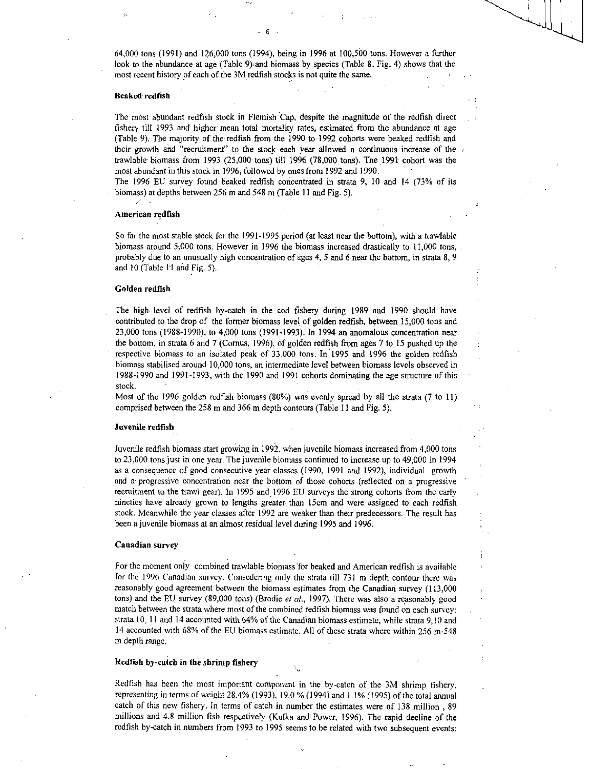64,000 tons (1991) and 126,000 tons (1994), being in 1996 at 100,500 tons. However a further look to the abundance at age (Table 9) and biomass by species (Table 8, Fig. 4) shows that the most recent history of each of the 3M redfish stocks is not quite the same.

6

### Beaked redfish

The most abundant redfish stock in Flemish Cap, despite the magnitude of the redfish direct fishery till 1993 and higher mean total mortality rates, estimated from the abundance at age (Table 9). The majority of the redfish from the 1990 to 1992 cohorts were beaked redfish and their growth and "recruitment" to the stock each year allowed a continuous increase of the trawlable biomass from 1993 (25,000 tons) till 1996 (78,000 tons). The 1991 cohort was the most abundant in this stock in 1996, followed by ones from 1992 and 1990.

The 1996 EU survey found beaked redfish concentrated in strata 9, 10 and 14 (73% of its biomass) at depths between 256 m and 548 m (Table 11 and Fig. 5).

#### American redfish

So far the most stable stock for the 1991-1995 period (at least near the bottom), with a trawlable biomass around 5,000 tons. However in 1996 the biomass increased drastically to 11,000 tons, probably due to an unusually high concentration of ages 4, 5 and 6 near the bottom, in strata 8, 9 and 10 (Table 11 and Fig. 5).

#### Golden redfish

The high level of redfish by-catch in the cod fishery during 1989 and 1990 should have contributed to the drop of the former biomass level of golden redfish, between 15,000 tons and 23,000 tons (1988-1990), to 4,009 tons (1991-1993). In 1994 an anomalous concentration near the bottom, in strata 6 and 7 (Comus, 1996), of golden redfish from ages 7 to 15 pushed up the respective biomass to an isolated peak of 33,000 tons. In 1995 and 1996 the golden redfish biomass stabilised around 10,000 tons, an intermediate level between biomass levels observed in 1988-1990 and 1991-1993, with the 1990 and 1991 cohorts dominating the age structure of this stock.

Most of the 1996 golden redfish biomass (80%) was evenly spread by all the strata (7 to 11) comprised between the 258 m and 366 m depth contours (Table 11 and Fig. 5).

#### Juvenile redfish

Juvenile redfish biomass start growing in 1992, when juvenile biomass increased from 4,000 tons to 23,000 tons just in one year. The juvenile biomass continued to increase up to 49,000 in 1994 as a consequence of good consecutive year classes (1990, 1991 and 1992), individual growth and a progressive concentration near the bottom of those cohorts (reflected on a progressive recruitment to the trawl gear). In 1995 and 1996 EU surveys the strong cohorts from the early nineties have already grown to lengths greater. than 15cm and were assigned to each redfish stock. Meanwhile the year classes after 1992 are weaker than their predecessors. The result has been a juvenile biomass at an almost residual level during 1995 and 1996.

#### Canadian survey

For the moment only combined trawlable biomass 'for beaked and American redfish is available for the 1996 Canadian survey. Consedering only the strata till 731 m depth contour there was reasonably good agreement between the biomass estimates from the Canadian survey (113,000 tons) and the EU survey (89,000 tons) (Brodie *et al.,* 1997). There was also a reasonably good match between the strata where most of the combined redfish biomass was found on each survey: strata 10, 1 I and 14 accounted with 64% of the Canadian biomass estimate, while strata 9,10 and 14 accounted with 68% of the EU biomass estimate. All of these strata where within 256 m-548 m depth range.

#### Redfish by-catch in the shrimp fishery

Redfish has been the most important component in the by-catch of the 3M shrimp fishery, representing in terms of weight 28.4% (1993), 19.0 % (1994) and 1.1% (1995) of the total annual catch of this new fishery. In terms of catch in number the estimates were of 138 million , 89 millions and 4.8 million fish respectively (Kulka and Power, 1996). The rapid decline of the redfish by-catch in numbers from 1993 to 1995 seems to be related with two subsequent events: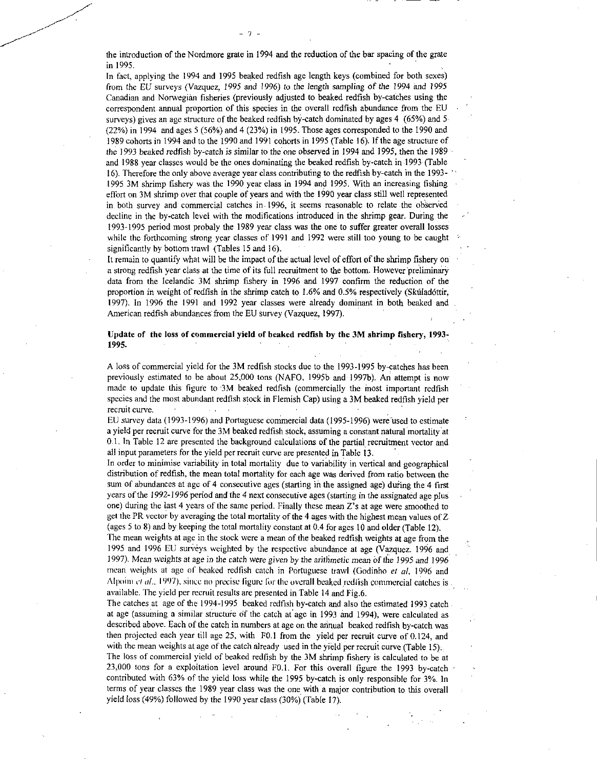the introduction of the Nordmore grate in 1994 and the reduction of the bar spacing of the grate in 1995.

In fact, applying the 1994 and 1995 beaked redfish age length keys (combined for both sexes) from the EU surveys (Vazquez, 1995 and 1996) to the length sampling of the 1994 and 1995 Canadian and Norwegian fisheries (previously adjusted to beaked redfish by-catches using the correspondent annual proportion of this species in the overall redfish abundance from the EU surveys) gives an age structure of the beaked redfish by-catch dominated by ages 4 (65%) and 5 (22%) in 1994 and ages 5 (56%) and 4 (23%) in 1995. Those ages corresponded to the 1990 and 1989 cohorts in 1994 and to the 1990 and 1991 cohorts in 1995 (Table 16). If the age structure of the 1993 beaked redfish by-catch is similar to the one observed in 1994 and 1995, then the 1989 and 1988 year classes would be the ones dominating the beaked redfish by-catch in 1993 (Table 16). Therefore the only above average year class contributing to the redfish by-catch in the 1993- 1995 3M shrimp fishery was the 1990 year class in 1994 and 1995. With an increasing fishing effort on 3M shrimp over that couple of years and with the 1990 year class still well represented in both survey and commercial catches in 1996, it seems reasonable to relate the observed decline in the by-catch level with the modifications introduced in the shrimp gear. During the 1993-1995 period most probaly the 1989 year class was the one to suffer greater overall losses while the forthcoming strong year classes of 1991 and 1992 were still too young to be caught significantly by bottom trawl (Tables 15 and 16).

It remain to quantify what will be the impact of the actual level of effort of the shrimp fishery on a strong redfish year class at the time of its full recruitment to the bottom. However preliminary data from the Icelandic 3M shrimp fishery in 1996 and 1997 confirm the reduction of the proportion in weight of redfish in the shrimp catch to 1.6% and 0.5% respectively (Skuladottir, 1997). In 1996 the 1991 and 1992 year classes were already dominant in both beaked and American redfish abundances from the EU survey (Vazquez, 1997).

Update of the loss of commercial yield of beaked redfish by the 3M shrimp fishery, 1993- 1995.

A loss of commercial yield for the 3M redfish stocks due to the 1993-1995 by-catches has been previously estimated to be about 25,000 tons (NAFO, 19956 and 19976). An attempt is now made to update this figure to 3M beaked redfish (commercially the most important redfish species and the most abundant redfish stock in Flemish Cap) using a 3M beaked redfish yield per recruit curve.

EU survey data (1993-1996) and Portuguese commercial data (1995-1996) were used to estimate a yield per recruit curve for the 3M beaked redfish stock, assuming a constant natural mortality at 0.1. In Table 12 are presented the background calculations of the partial recruitment vector and all input parameters for the yield per recruit curve are presented in Table 13.

In order to minimise variability in total mortality due to variability in vertical and geographical distribution of redfish, the mean total mortality for each age was derived from ratio between the sum of abundances at age of 4 consecutive ages (starting in the assigned age) during the 4 first years of the *1992-1996* period and the 4 next consecutive ages (starting in the assignated age plus one) during the last 4 years of the same period. Finally these mean Z's at age were smoothed to get the PR vector by averaging the total mortality of the 4 ages with the highest mean values of Z (ages 5 to 8) and by keeping the total mortality constant at 0.4 for ages 10 and older (Table 12).

The mean weights at age in the stock were a mean of the beaked redfish weights at age from the 1995 and 1996 EU surveys weighted by the respective abundance at age (Vazquez. 1996 and 1997). Mean weights at age in the catch were *given* by the *arithmetic* mean of the 1995 *and* 1996 mean weights at age of beaked redfish catch in Portuguese trawl (Godinho *el al,* 1996 and Alpoini *et al.*, 1997), since no precise figure for the overall beaked redfish commercial catches is available. The yield per recruit results are presented in Table 14 and Fig.6.

The catches at age of the 1994-1995 beaked redfish by-catch and also the estimated 1993 catch at age (assuming a similar structure of the catch at age in 1993 and 1994), were calculated as described above. Each of the catch in numbers at age on the annual beaked redfish by-catch was then projected each year till age 25, with F0.1 from the yield per recruit curve of 0.124, and with the mean weights at age of the catch already used in the yield per recruit curve (Table 15). The loss of commercial yield of beaked redfish by the 3M shrimp fishery is calculated to be at 23,000 tons for a exploitation level around F0.1. For this overall figure the 1993 by-catch contributed with 63% of the yield loss while the 1995 by-catch is only responsible for 3%. In terms of year classes the 1989 year class was the one with a major contribution to this overall yield loss (49%) followed by the 1990 year class (30%) (Table 17).

- 7 -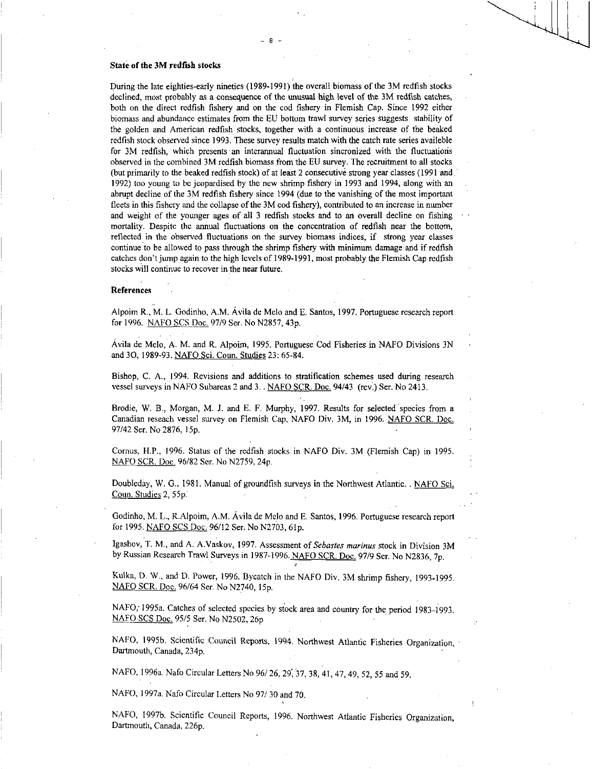## State of the 3M redfish stocks

During the late eighties-early nineties (1989-1991) the overall biomass of the 3M redfish stocks declined, most probably as a consequence of the unusual high level of the 3M redfish catches, both on the direct redfish fishery and on the cod fishery in Flemish Cap. Since 1992 either biomass and abundance estimates from the EU bottom trawl survey series suggests stability of the golden and American redfish stocks, together with a continuous increase of the beaked redfish stock observed since 1993. These survey results match with the catch rate series availeble for 3M redfish, which presents an interannual fluctuation sincronized with the fluctuations observed in the combined 3M redfish biomass from the EU survey. The recruitment to all stocks (but primarily to the beaked redfish stock) of at least 2 consecutive strong year classes (1991 and.. 1992) too young to be jeopardised by the new shrimp fishery in 1993 and 1994, along with an abrupt decline of the 3M redfish fishery since 1994 (due to the vanishing of the most important fleets in this fishery and the collapse of the 3M cod fishery), contributed to an increase in number and weight of the younger ages of all 3 redfish stocks and to an overall decline on fishing mortality. Despite the annual fluctuations on the concentration of redfish near the bottom, reflected in the observed fluctuations on the survey biomass indices, if strong year classes continue to be allowed to pass through the shrimp fishery with minimum damage and if redfish catches don't jump again to the high levels of 1989-1991, most probably the Flemish Cap redfish stocks will continue to recover in the near future.

- 8

#### **References**

Alpoim R., M. L. Godinho, A.M. Avila de Melo and E. Santos, 1997. Portuguese research report for 1996. NAFO SCS Doc. 97/9 Ser. No N2857, 43p.

Avila de Melo, A. M. and R. Alpoim, 1995. Portuguese Cod Fisheries in NAFO Divisions 3N and 30, 1989-93. NAFO Sci. Coun. Studies 23: 65-84.

Bishop, C. A., 1994. Revisions and additions to stratification schemes used during research vessel surveys in NAFO Subareas 2 and 3.. NAFO SCR. Doc. 94/43 (rev.) Ser. No 2413.

Brodie, W. B., Morgan, M. J. and E. F. Murphy, 1997. Results for selected species from a Canadian reseach vessel survey on Flemish Cap, NAFO Div. 3M, in 1996. NAFO SCR. Doc. 97/42 Ser. No 2876, 15p.

Cornus, H.P., 1996. Status of the redfish stocks in NAFO Div. 3M (Flemish Cap) in 1995. NAFO SCR. Doc. 96/82 Ser. No N2759, 24p.

Doubleday, W. G., 1981. Manual of groundfish surveys in the Northwest Atlantic. . NAFO Sci. Coun. Studies 2, 55p.

Godinho, M. L., R.Alpoim, A.M. Avila de Melo and E. Santos, 1996. Portuguese research report for 1995. NAFO SCS Doc. 96/12 Ser. No N2703, 61p.

Igashov, T. M., and A. A.Vaskov, 1997. Assessment of *Sebastes marinas* stock in Division 3M by Russian Research Trawl Surveys in 1987-1996. NAFO SCR. Doc. 97/9 Ser. No N2836, 7p.

Kulka, D. W., and D. Power, 1996. Bycatch in the NAFO Div. 3M shrimp fishery, 1993-1995. NAFO SCR. Doc. 96/64 Ser. No N2740, 15p.

NAFO; 1995a. Catches of selected species by stock area and country for the period 1983-1993. NAFO SCS Doc. 95/5 Ser. No N2502, 26p

NAFO, 1995b. Scientific Council Reports, 1994. Northwest Atlantic Fisheries Organization, • Dartmouth, Canada, 234p.

NAFO, I 996a. Nafo Circular Letters No 96/ 26.29; 37, 38, 41, 47, 49, 52, 55 and 59.

NAFO, 1997a. Nafo Circular Letters No 97/ 30 and 70.

NAFO, 19976. Scientific Council Reports, 1996. Northwest Atlantic Fisheries Organization, Dartmouth, Canada, 226p.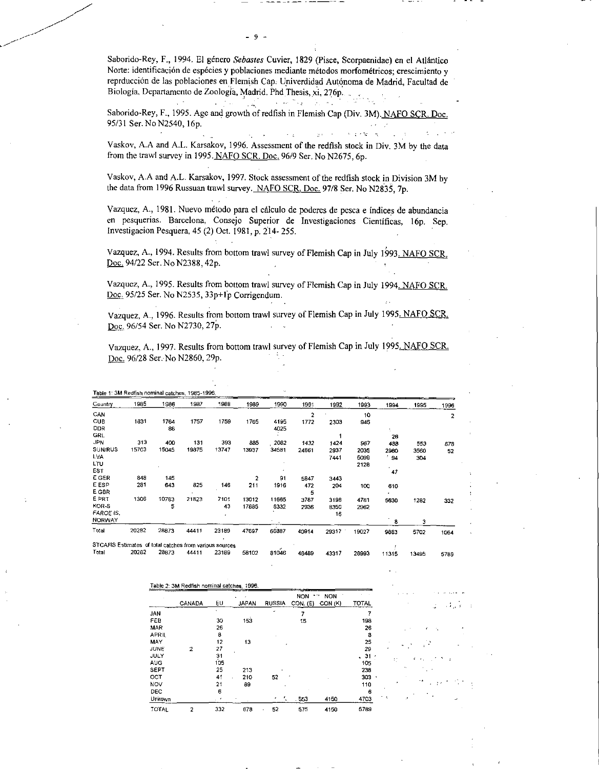Saborido-Rey, F., 1994. El género *Sebastes* Cuvier, 1829 (Pisce, Scorpaenidae) en el Atlántico Norte: identificación de espécies y poblaciones mediante métodos morfométricos; crescimiento y reprducción de las poblaciones en Flemish Cap. Univerdidad Autónoma de Madrid, Facultad de Biología, Departamento de Zoología, Madrid. Phd Thesis, xi, 276p.

 $\label{eq:2.1} \mathcal{L}(\mathcal{L}^{\mathcal{L}}_{\mathcal{L}}(\mathcal{L}^{\mathcal{L}}_{\mathcal{L}}(\mathcal{L}^{\mathcal{L}}_{\mathcal{L}}(\mathcal{L}^{\mathcal{L}}_{\mathcal{L}}(\mathcal{L}^{\mathcal{L}}_{\mathcal{L}}(\mathcal{L}^{\mathcal{L}}_{\mathcal{L}}(\mathcal{L}^{\mathcal{L}}_{\mathcal{L}}(\mathcal{L}^{\mathcal{L}}_{\mathcal{L}}(\mathcal{L}^{\mathcal{L}}_{\mathcal{L}}(\mathcal{L}^{\mathcal{L}}_{\mathcal{L}}(\mathcal{L$ Saborido-Rey, F., 1995. Age and growth of redfish in Flemish Cap (Div. 3M). NAFO SCR. Doc. 95/31 Ser. No N2540, 16p.

 $\sim$   $\mu$ 

Vaskov, A.A and A.L. Karsakov, 1996. Assessment of the redfish stock in Div. 3M by the data from the trawl survey in 1995. NAFO SCR. Doc. 96/9 Ser. No N2675, 6p.

 $\sim$   $\sim$ 

o ta

Vaskov, A.A and A.L. Karsakov, 1997. Stock assessment of the redfish stock in Division 3M by the data from 1996 Russuan trawl survey. NAFO SCR, Doc. 97/8 Ser. No N2835, 7p.

Vazquez, A., 1981. Nuevo metodo pare el calculo de poderes de pesca e indices de abundancia en pesquerias. Barcelona, Consejo Superior de Investigaciones Cientificas, 16p. Sep. Investigation Pesquera, 45 (2) Oct. 1981, p. 214- 255.

Vazquez, A., 1994. Results from bottom trawl survey of Flemish Cap in July 1993. NAFO SCR. Doc. 94/22 Ser. No N2388, 42p.

Vazquez, A., 1995. Results from bottom trawl survey of Flemish Cap in July 1994. NAFO SCR. Doc. 95/25 Ser. No N2535, 33p+1p Corrigendum.

Vazquez, A., 1996. Results from bottom trawl survey of Flemish Cap in July 1995. NAFO SCR. Doc. 96/54 Ser. No N2730, 27p.

Vazquez, A., 1997. Results from bottom trawl survey of Flemish Cap in July 1995. NAFO SCR. Doc. 96/28 Ser. No N2860, 29p.

| Country        | 1985  | 1986  | 1987  | 1988  | 1989           | 1990  | 1991           | 1992  | 1993  | 1994         | 1995 | 1996 |
|----------------|-------|-------|-------|-------|----------------|-------|----------------|-------|-------|--------------|------|------|
| CAN            |       |       |       |       |                |       | $\overline{2}$ |       | 10    |              |      | 2    |
| <b>CUB</b>     | 1831  | 1764  | 1757  | 1759  | 1765           | 4195  | 1772           | 2303  | 945   |              |      |      |
| <b>DDR</b>     |       | 88    |       |       |                | 4025  |                |       |       |              |      |      |
| GRL            |       |       |       |       |                |       |                |       |       | 26           |      |      |
| <b>JPN</b>     | 313   | 400   | 131   | 393   | 885            | 2082  | 1432           | 1424  | 967   | 488          | 553  | 678  |
| <b>SUN/RUS</b> | 15703 | 15045 | 19375 | 13747 | 13937          | 34581 | 24661          | 2937  | 2035  | 2980         | 3560 | 52   |
| LVA.           |       |       |       |       |                |       |                | 7441  | 5099  | 94 '         | 304  |      |
| LTU            |       |       |       |       |                |       |                |       | 2128  | $\mathbf{r}$ |      |      |
| EST            |       |       |       |       |                |       |                |       |       | 47           |      |      |
| E GER          | 848   | 145   |       |       | $\overline{2}$ | 91    | 5847           | 3443  |       |              |      |      |
| E ESP          | 281   | 643   | 825   | 146   | 211            | 1916  | 472            | 204   | 100   | 610          |      |      |
| E GBR          |       |       |       |       |                |       | 5              |       |       | ٠.           |      |      |
| E PRT          | 1306  | 10783 | 21823 | 7101  | 13012          | 11665 | 3737           | 3198  | 4781  | 5630         | 1282 | 332  |
| KOR-S          |       | 5     |       | 43    | 17885          | 8332  | 2936           | 8350  | 2962  |              |      |      |
| FAROE IS.      |       |       |       |       |                |       |                | 16    |       |              |      |      |
| <b>NORWAY</b>  |       |       |       |       |                |       |                |       |       | 8            | з    |      |
| Total          | 20282 | 28873 | 44411 | 23189 | 47697          | 66887 | 40914          | 29317 | 19027 | 9883         | 5702 | 1064 |

Table 1' 3M Redfish nominal catches 1985-1996

Total 20282 28873 44411 23189 58102 81046 48489 43317 28993 11315 13495 5789

|              |               |     |              |                 | <b>NON</b> | <b>NON</b> |              |           |    |        |
|--------------|---------------|-----|--------------|-----------------|------------|------------|--------------|-----------|----|--------|
|              | <b>CANADA</b> | EU  | <b>JAPAN</b> | <b>RUSSIA</b>   | CON. (E)   | CON (K)    | <b>TOTAL</b> |           |    | وراداه |
| <b>JAN</b>   |               | ۰   |              |                 | 7          |            |              |           |    |        |
| FEB          |               | 30  | 153          |                 | 15         |            | 198          |           |    |        |
| MAR          |               | 26  |              |                 |            |            | 26           |           |    |        |
| <b>APRIL</b> |               | 8   |              |                 |            |            | 8            |           |    |        |
| MAY          |               | 12  | 13           |                 |            |            | 25           |           |    | ° ∿    |
| JUNE         | 2             | 27  |              |                 |            |            | 29           |           |    |        |
| <b>JULY</b>  |               | 31  |              |                 |            |            | $\sqrt{31}$  |           | ÷  | ¢.     |
| <b>AUG</b>   |               | 105 |              |                 |            |            | 105          |           |    |        |
| <b>SEPT</b>  |               | 25  | 213          |                 |            |            | 238          |           | ۰. |        |
| OCT          |               | 41  | 210          | 52              |            |            | 303          |           |    | .,     |
| <b>NOV</b>   |               | 21  | 89           |                 |            |            | 110          |           |    |        |
| <b>DEC</b>   |               | 6   |              |                 |            |            | 6            |           |    |        |
| Unkown       |               |     |              | $\cdot$ $\cdot$ | $-553$     | 4150       | 4703         | $\cdot$ . |    |        |
| TOTAL        | 2             | 332 | 678          | 52<br>٠         | \$75       | 4150       | 5789         |           |    |        |

9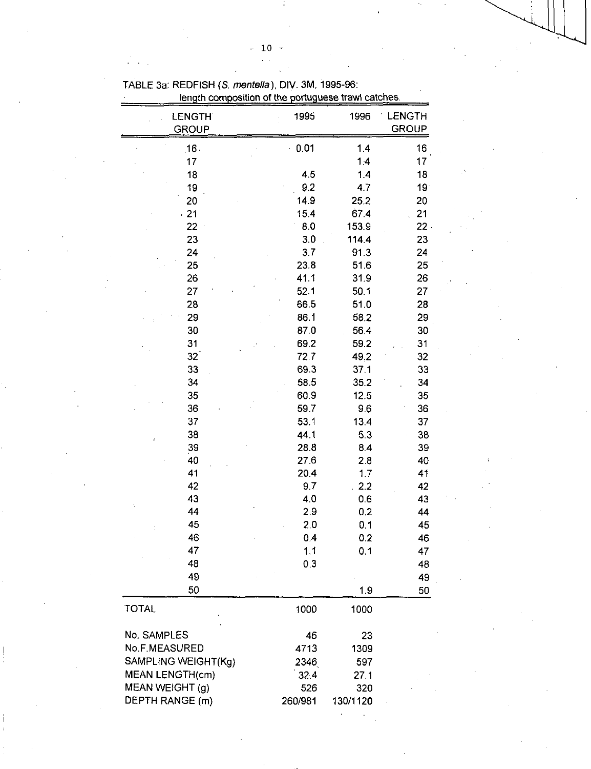| length composition of the portuguese trawl catches. |         |          |                 |
|-----------------------------------------------------|---------|----------|-----------------|
| LENGTH                                              | 1995    | 1996     | <b>LENGTH</b>   |
| <b>GROUP</b>                                        |         |          | <b>GROUP</b>    |
|                                                     |         |          |                 |
| 16.                                                 | 0.01    | 1.4      | 16              |
| 17                                                  |         | 1:4      | 17              |
| 18                                                  | 4.5     | 14       | 18              |
| 19                                                  | 9.2     | 4.7      | 19 <sup>°</sup> |
| 20                                                  | 14.9    | 25.2     | 20              |
| $-21$                                               | 15.4    | 67.4     | 21              |
| 22                                                  | 8.0     | 153.9    | $22 -$          |
| 23                                                  | 3.0     | 114.4    | 23              |
| 24                                                  | 3.7     | 91.3     | 24              |
| 25                                                  | 23.8    | 51.6     | 25              |
| 26                                                  | 41.1    | 31.9     | 26              |
| 27                                                  | 52.1    | 50.1     | 27              |
| 28                                                  | 66.5    | 51.0     | 28              |
| 29                                                  | 86.1    | 58.2     | 29              |
| 30                                                  | 87.0    | 56.4     | 30              |
| 31                                                  | 69.2    | 59.2     | 31              |
| $32^{\degree}$                                      | 72.7    | 49,2     | 32              |
| 33                                                  | 69.3    | 37.1     | 33              |
| 34                                                  | 58.5    | 35.2     | 34              |
| 35                                                  | 60.9    | 12.5     | 35              |
| 36                                                  | 59.7    | 9.6      | 36              |
| 37                                                  | 53.1    | 13.4     | 37              |
| 38                                                  | 44.1    | 5.3      | 38              |
| 39                                                  | 28.8    | 8.4      | 39              |
| 40                                                  | 27.6    | 2.8      | 40              |
| 41                                                  | 20.4    | 1.7      | 41              |
| 42                                                  | 9.7     | 2.2      | 42              |
| 43                                                  | 4.0     | 0.6      | 43              |
| 44                                                  | 2.9     | 0.2      | 44              |
| 45                                                  | 2.0     | 0.1      | 45              |
| 46                                                  | 0.4     | 0.2      | 46              |
| 47                                                  | 1.1     | 0.1      | 47              |
| 48                                                  | 0.3     |          | 48              |
| 49                                                  |         |          | 49              |
| 50                                                  |         | 1.9      | 50              |
| <b>TOTAL</b>                                        | 1000    | 1000     |                 |
| No. SAMPLES                                         | 46      | 23       |                 |
| No.F.MEASURED                                       | 4713    | 1309     |                 |
| SAMPLING WEIGHT(Kg)                                 | 2346    | 597      |                 |
| MEAN LENGTH(cm)                                     | 32.4    | 27.1     |                 |
| MEAN WEIGHT (g)                                     | 526     | 320      |                 |
| DEPTH RANGE (m)                                     | 260/981 | 130/1120 |                 |
|                                                     |         |          |                 |

 $\bar{1}$ 

 $\ddot{\phantom{a}}$ 

TABLE 3a: REDFISH *(S. mentella),* DIV. 3M, 1995-96:

 $\hat{\mathbf{r}}$  $\bar{a}$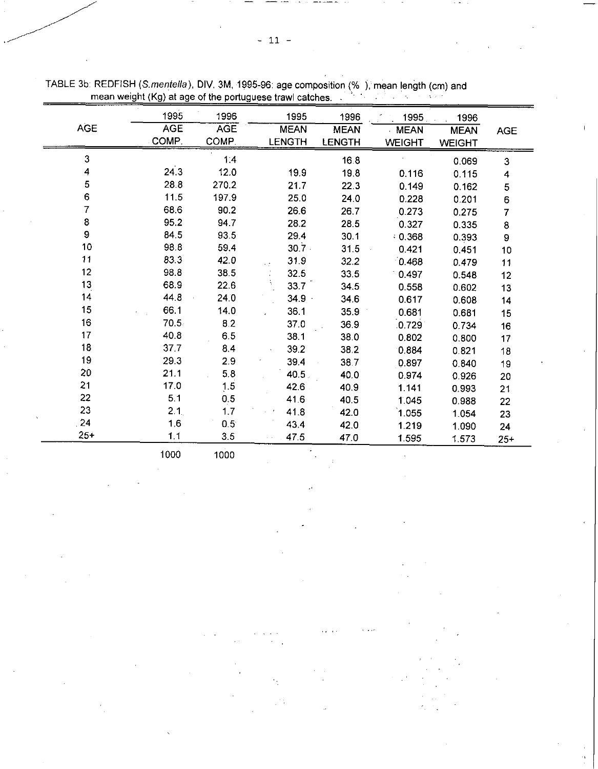|            | 1995             | 1996          | 1995          | 1996        | 1995          | 1996          |             |
|------------|------------------|---------------|---------------|-------------|---------------|---------------|-------------|
| <b>AGE</b> | <b>AGE</b>       | <b>AGE</b>    | <b>MEAN</b>   | <b>MEAN</b> | <b>MEAN</b>   | <b>MEAN</b>   | <b>AGE</b>  |
|            | COMP.            | COMP.         | <b>LENGTH</b> | LENGTH      | <b>WEIGHT</b> | <b>WEIGHT</b> |             |
| 3          |                  | 1.4           |               | 16.8        |               | 0.069         | $\mathbf 3$ |
| 4          | 24.3             | 12.0          | 19.9          | 19.8        | 0.116         | 0.115         | 4           |
| 5          | 28.8             | 270.2         | 21.7          | 22.3        | 0.149         | 0.162         | $\mathbf 5$ |
| 6          | 11.5             | 197.9         | 25.0          | 24.0        | 0.228         | 0.201         | 6           |
| 7          | 68.6             | 90.2          | 26.6          | 26.7        | 0.273         | 0.275         | 7           |
| $\bf8$     | 95.2             | 94.7          | 28.2          | 28.5        | 0.327         | 0.335         | $\bf8$      |
| 9          | 84.5             | 93.5          | 29.4          | 30.1        | 0.368         | 0.393         | 9           |
| 10         | 98.8             | 59.4          | $30.7 -$      | 31.5        | 0.421         | 0.451         | 10          |
| 11         | 83.3             | 42.0          | 31.9          | 32.2        | 0.468         | 0.479         | 11          |
| 12         | 98.8             | 38.5          | 32.5          | 33.5        | 0.497         | 0.548         | 12          |
| 13         | 68.9             | 22.6          | 33.7          | 34.5        | 0.558         | 0.602         | 13          |
| 14         | 44.8             | 24.0          | $34.9 -$      | 34.6        | 0.617         | 0.608         | 14          |
| $15\,$     | 66.1             | 14.0          | 36.1          | 35.9        | 0.681         | 0.681         | 15          |
| 16         | 70.5             | 8.2           | 37.0          | 36.9        | .0.729        | 0.734         | 16          |
| 17         | 40.8             | 6.5           | 38.1          | 38.0        | 0.802         | 0.800         | 17          |
| 18         | 37.7             | 8.4           | 39.2          | 38.2        | 0.884         | 0.821         | 18          |
| 19         | 29.3             | 2.9           | 39.4          | 38.7        | 0.897         | 0.840         | 19          |
| 20         | 21.1             | 5.8           | 40.5          | 40.0        | 0.974         | 0.926         | 20          |
| 21         | 17.0             | 1.5           | 42.6          | 40.9        | 1.141         | 0.993         | 21          |
| 22         | 5.1              | 0.5           | 41.6          | 40.5        | 1.045         | 0.988         | 22          |
| 23         | 2.1 <sub>1</sub> | 1.7           | 41.8          | 42.0        | 1.055         | 1.054         | 23          |
| 24         | 1.6              | $0.5^{\circ}$ | 43.4          | 42.0        | 1.219         | 1.090         | 24          |
| $25+$      | 1.1              | 3.5           | 47.5          | 47.0        | 1.595         | 1.573         | $25 +$      |

TABLE 3b: REDFISH *(S.mentella),* DIV. 3M, 1995-96: age composition (% ); mean length (cm) and mean weight (Kg) at age of the portuguese trawl catches. .

1000 1000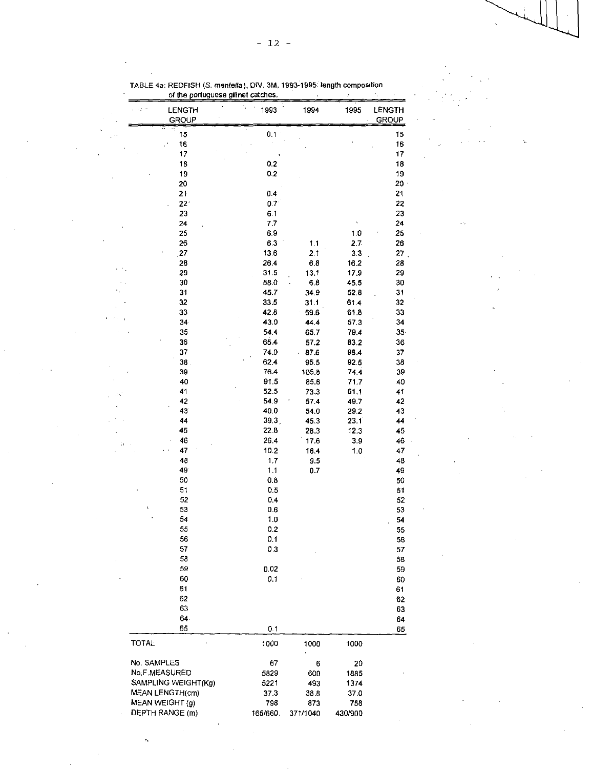$\bar{\psi}$  .

|                 | LENGTH<br><b>GROUP</b> | 1993             | 1994         | 1995           | LENGTH<br>GROUP |
|-----------------|------------------------|------------------|--------------|----------------|-----------------|
|                 | 15                     | 0.1              |              |                | 15              |
|                 | 16                     |                  |              |                | 16              |
|                 | 17                     |                  |              |                | 17              |
|                 | 18                     | 0.2              |              |                | 18              |
|                 | 19                     | 0.2              |              |                | 19              |
|                 | 20                     |                  |              |                | 20              |
|                 | 21                     | 0.4              |              |                | 21              |
|                 | $22^{\circ}$           | 0.7 <sub>1</sub> |              |                | 22              |
|                 | 23                     | 6.1              |              |                | 23              |
|                 | 24                     | 7.7<br>6.9       |              |                | 24<br>25        |
|                 | 25<br>26               | 6.3              | 1.1          | 1.0<br>2.7     | 26              |
|                 | 27                     | 13.6             | 2.1          | 3 <sub>3</sub> | 27              |
|                 | 28                     | 26.4             | 6.8          | 16.2           | 28              |
|                 | 29                     | 31.5             | 13.1         | 17.9           | 29              |
|                 | 30                     | 58.0             | 6.8          | 45.5           | 30              |
|                 | 31                     | 45.7             | 34.9         | 52.8           | 31              |
|                 | 32                     | 33.5             | 31.1         | 61.4           | 32              |
|                 | 33                     | 42.8             | 59.6         | 618            | 33              |
|                 | 34                     | 43.0             | 44.4         | 573            | 34              |
|                 | 35                     | 54.4             | 65.7         | 79.4           | 35 <sub>2</sub> |
|                 | 36                     | 65.4             | 57.2         | 83.2           | 36              |
|                 | 37                     | 74.0             | 87.6         | 98.4           | 37              |
|                 | 38.                    | 62.4             | 95.5         | 92.5           | 38              |
|                 | 39                     | 76.4             | 105.8        | 744            | 39              |
|                 | 40<br>41               | 91.5<br>52.5     | 85.6<br>73.3 | 71.7<br>61.1   | 40<br>41        |
|                 | 42                     | 54.9             | 57.4         | 49.7           | 42              |
|                 | 43                     | 40.0             | 54.0         | 29.2           | 43              |
|                 | 44                     | 39.3             | 45.3         | 23.1           | 44              |
|                 | 45                     | 22.8             | 28.3         | 12.3           | 45              |
|                 | 46                     | 26.4             | 17.6         | 3.9            | 46              |
|                 | 47                     | 10.2             | 16.4         | 1.0            | 47              |
|                 | 48                     | 1.7              | 9.5          |                | 48              |
|                 | 49                     | 1.1              | 07           |                | 49              |
|                 | 50                     | $0.8\,$          |              |                | 50              |
|                 | 51                     | 0.5              |              |                | 51              |
| Ń               | 52                     | 0.4              |              |                | 52              |
|                 | 53                     | 0.6              |              |                | 53              |
|                 | 54<br>55               | 1.0<br>0.2       |              |                | 54              |
|                 | 56                     | 0.1              |              |                | 55<br>56        |
|                 | 57                     | 0.3              |              |                | 57              |
|                 | 58                     |                  |              |                | 58              |
|                 | 59                     | 0.02             |              |                | 59              |
|                 | 60                     | 0.1              |              |                | 60              |
|                 | 61                     |                  |              |                | 61              |
|                 | 62                     |                  |              |                | 62              |
|                 | 63                     |                  |              |                | 63              |
|                 | 64.                    |                  |              |                | 64              |
|                 | 65                     | 0.1              |              |                | 65              |
| <b>TOTAL</b>    |                        | 1000             | 1000         | 1000           |                 |
| No. SAMPLES     |                        | 67               | 6            | 20             |                 |
| No.F.MEASURED   |                        | 5829             | 600          | 1885           |                 |
|                 | SAMPLING WEIGHT(Kg)    | 5221             | 493          | 1374           |                 |
| MEAN LENGTH(cm) |                        | 37.3             | 38.8         | 37.0           |                 |
| MEAN WEIGHT (g) |                        | 798              | 873          | 758            |                 |
| DEPTH RANGE (m) |                        | 165/660          | 371/1040     | 430/900        |                 |

TABLE 4a. REDFISH *(S.* mentefla), DIV. 3M, 1993-1995: length composition of the portuguese gillnet catches.

j

l,

 $\epsilon \rightarrow$ 

 $\ddot{\phantom{a}}$  $\bar{z}$ 

 $\overline{\phantom{a}}$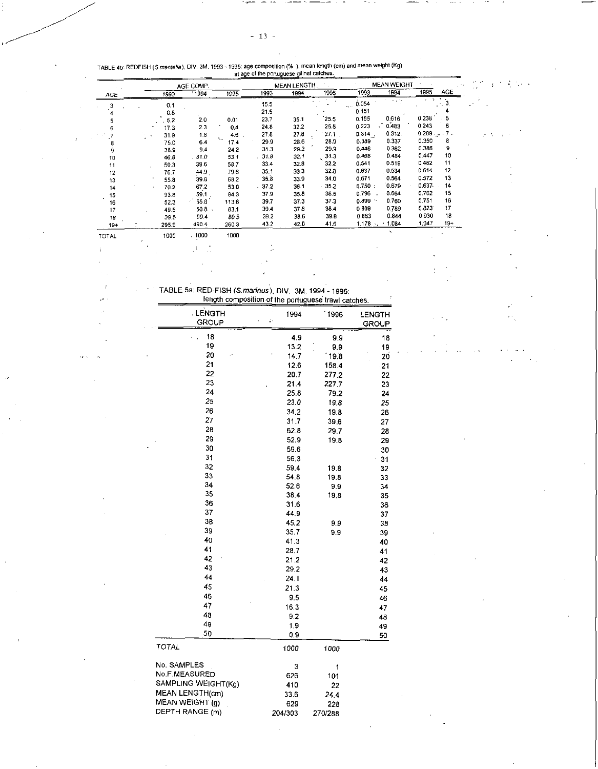|              |       | AGE COMP. |                   |       | <b>MEAN LENGTH</b> |         |            | <b>MEAN WEIGHT</b>       |                  |       | در د. |
|--------------|-------|-----------|-------------------|-------|--------------------|---------|------------|--------------------------|------------------|-------|-------|
| AGE          | 1993  | 1994      | 1995              | 1993  | 1994               | 1995    | 1993       | 1994                     | 1995             | AGE   |       |
|              | 0.1   |           |                   | 15.5  |                    |         | 0.054<br>. |                          | . . <del>.</del> | 3     |       |
|              | 0.8   |           |                   | 21.5  |                    |         | 0.151      |                          |                  |       |       |
|              | 5.2   | $2.0\,$   | 0.01              | 23.7  | 35.1               | 25.5    | 0.195      | 0.616                    | 0.238            |       |       |
|              | 17.3  | 2.3       | 0.4               | 24.8  | 32.2               | 25.5    | 0.223      | 0.483                    | 0.243            | 6     |       |
|              | 31.9  | 1.8       | 4.6               | 27.8  | 27.8               | 27.1    | $0.314$ .  | 0.312.                   | 0.2897           |       |       |
| 8            | 75.0  | 6.4       | $\ddotsc$<br>17.4 | 29.9  | 28.6               | 28.9    | 0.389      | 0.337                    | 0.350            | 8     |       |
| ġ            | 38.9  | 9.4       | 24.2              | 31.3  | 29.2               | 29.9    | 0.446      | 0.362                    | 0.386            | 9     |       |
| 10           | 46.8  | 31.0      | 53.1              | 31.8  | 32.1               | 31.3    | 0.468      | 0.484                    | 0.447            | 10    |       |
| 11           | 50.3  | 39.6      | 58.7              | 33.4  | 32.8               | 32.2    | 0.541      | 0.519                    | 0.482            | 11    |       |
| 12           | 76.7  | 44.9      | 79.6              | 35.1  | 33.3               | 32.8    | 0.637      | 0.534                    | 0.514            | 12    |       |
| 13           | 55.8  | 39.8      | 68.2              | 35.8  | 33.9               | 34.0    | 0.671      | 0.564                    | 0.572            | 13    |       |
| 14           | 70.2  | 67.2      | 53.0              | .37.2 | 36.1               | $-35.2$ | 0.750:     | 0.679                    | 0.637            | 14    |       |
| 15           | 93.8  | 59.1      | 94.3              | 37.9  | 35.6               | 36.5    | 0.796      | 0.664                    | 0.702            | 15    |       |
| 16           | 52.3  | 55.8      | 113.6             | 39.7  | 37.3               | 37.3    | 0.899      | 0.760                    | 0.751            | 16    |       |
| 17           | 49.5  | 50.8      | 83.1              | 39.4  | 37.8               | 38.4    | 0.889      | 0.789                    | 0.823            | 17    |       |
| 18           | 39.5  | 99.4      | 89.5              | 39.2  | 38.6               | 39.8    | 0.863      | 0.844                    | 0.930            | 18    |       |
| $19+$        | 295.9 | 490.4     | 260.3             | 43.2  | 42.0               | 41.6    | 1.178      | 1.084                    | 1.047            | $19+$ |       |
| <b>TOTAL</b> | 1000  | .1000     | 1000              |       |                    |         |            | $\overline{\phantom{a}}$ |                  |       |       |

ω.

• TABLE 5a: RED-FISH *(Sinafinus),* DIV. 3M, 1994 - 1996:

l.  $\hat{r}$  $\mathcal{A}^{\pm}$  .

 $\ddot{\cdot}$ 

| length composition of the portuguese trawl catches. |            |                 |               |  |  |  |  |
|-----------------------------------------------------|------------|-----------------|---------------|--|--|--|--|
| LENGTH                                              | 1994       | 1996            | <b>LENGTH</b> |  |  |  |  |
| <b>GROUP</b>                                        | ŗ.         |                 | <b>GROUP</b>  |  |  |  |  |
| 18                                                  | 4.9        | 9.9             |               |  |  |  |  |
| 19                                                  | 13.2       | 9,9             | 18<br>19      |  |  |  |  |
| $-20$                                               | 14.7       | $^{\circ}$ 19.8 | 20            |  |  |  |  |
| 21                                                  | 12.6       | 158.4           | $-21$         |  |  |  |  |
| 22                                                  | 20.7       | 277.2           | 22            |  |  |  |  |
| 23                                                  | 21.4       | 227.7           | 23            |  |  |  |  |
| 24                                                  | 25.8       | 79.2            | 24            |  |  |  |  |
| 25                                                  | 23.0       | 19.8            | 25            |  |  |  |  |
| 26                                                  | 34 2       | 19.8            | 26            |  |  |  |  |
| 27                                                  | 31.7       | 39.6            | 27            |  |  |  |  |
| 28                                                  | 62.8       | 29.7            | 28            |  |  |  |  |
| 29                                                  | 52,9       | 19.8            | 29            |  |  |  |  |
| 30                                                  | 59.6       |                 | 30            |  |  |  |  |
| 31                                                  | 56.3       |                 | 31            |  |  |  |  |
| 32                                                  | 59.4       | 19.8            | 32            |  |  |  |  |
| 33                                                  | 54.8       | 19.8            | 33            |  |  |  |  |
| 34                                                  | 52.6       | 9.9             | 34            |  |  |  |  |
| 35                                                  | 38.4       | 19,3            | 35            |  |  |  |  |
| 36                                                  | 31.6       |                 | 36            |  |  |  |  |
| 37                                                  | 44.9       |                 | 37            |  |  |  |  |
| 38                                                  | 45.2       | 9,9             | 38            |  |  |  |  |
| 39                                                  | 35.7       | 9.9             | 39            |  |  |  |  |
| 40                                                  | 41.3       |                 | 40            |  |  |  |  |
| 41                                                  | 28.7       |                 | 41            |  |  |  |  |
| 42                                                  | 21.2       |                 | 42            |  |  |  |  |
| 43                                                  | 29.2       |                 | 43            |  |  |  |  |
| 44                                                  | 24.1       |                 | 44            |  |  |  |  |
| 45                                                  | 21.3       |                 | 45            |  |  |  |  |
| 46                                                  | 9.5        |                 | 46            |  |  |  |  |
| 47                                                  | 16.3       |                 | 47            |  |  |  |  |
| 48                                                  | 9.2        |                 | 48            |  |  |  |  |
| 49                                                  | 1.9        |                 | 49            |  |  |  |  |
| 50                                                  | 0.9        |                 | 50            |  |  |  |  |
| TOTAL                                               | 1000       | 1000            |               |  |  |  |  |
| No. SAMPLES                                         | з          |                 |               |  |  |  |  |
| No.F.MEASURED                                       |            | 1               |               |  |  |  |  |
| SAMPLING WEIGHT(Kg)                                 | 626<br>410 | 101             |               |  |  |  |  |
| MEAN LENGTH(cm)                                     | 33.6       | 22              |               |  |  |  |  |
| MEAN WEIGHT (g)                                     | 629        | 24.4            |               |  |  |  |  |
| DEPTH RANGE (m)                                     | 204/303    | 228<br>270/288  |               |  |  |  |  |
|                                                     |            |                 |               |  |  |  |  |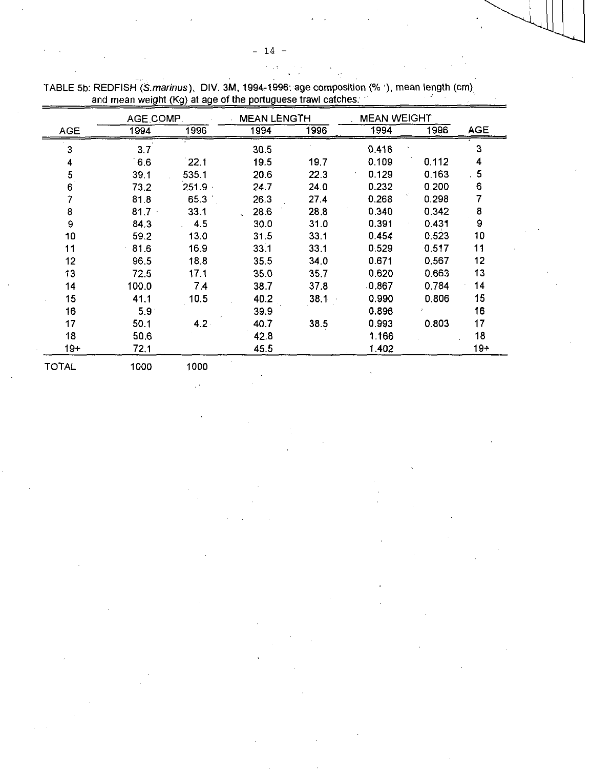|                          | AGE COMP.        |                  | MEAN LENGTH |      | <b>MEAN WEIGHT</b> |       |                |  |
|--------------------------|------------------|------------------|-------------|------|--------------------|-------|----------------|--|
| <b>AGE</b>               | 1994             | 1996             | 1994        | 1996 | 1994               | 1996  | <b>AGE</b>     |  |
| 3                        | 3.7              |                  | 30.5        |      | 0.418              |       | 3              |  |
| 4                        | 6.6              | 22.1             | 19.5        | 19.7 | 0.109              | 0.112 | 4              |  |
| $\overline{\mathbf{5}}$  | 39.1             | 535.1            | 20.6        | 22.3 | 0.129              | 0.163 | 5 <sub>5</sub> |  |
| $6 \overline{6}$         | 73.2             | $251.9 -$        | 24.7        | 24.0 | 0.232              | 0.200 | 6              |  |
| $\overline{\mathcal{I}}$ | 81.8             | 65.3             | 26.3        | 27.4 | 0.268              | 0.298 | 7              |  |
| $\bf 8$                  | $81.7 -$         | 33.1             | 28.6        | 28.8 | 0.340              | 0.342 | 8              |  |
| 9                        | 84.3             | 4.5              | 30.0        | 31.0 | 0.391              | 0.431 | 9              |  |
| 10                       | 59.2             | 13.0             | 31.5        | 33.1 | 0.454              | 0.523 | 10             |  |
| 11                       | 81.6             | 16.9             | 33.1        | 33.1 | 0.529              | 0.517 | 11             |  |
| 12                       | 96.5             | 18.8             | 35.5        | 34.0 | 0.671              | 0.567 | 12             |  |
| 13                       | 72.5             | 17.1             | 35.0        | 35.7 | 0.620              | 0.663 | 13             |  |
| 14                       | 100.0            | 74               | 38.7        | 37.8 | .0.867             | 0.784 | 14             |  |
| 15                       | 41.1             | 10.5             | 40.2        | 38.1 | 0.990              | 0806  | 15             |  |
| 16                       | 5.9 <sup>°</sup> |                  | 39.9        |      | 0.896              |       | 16             |  |
| 17                       | 50.1             | 4.2 <sub>1</sub> | 40.7        | 38.5 | 0.993              | 0.803 | 17             |  |
| 18                       | 50.6             |                  | 42.8        |      | 1.166              |       | 18             |  |
| 19+                      | 72.1             |                  | 45.5        |      | 1.402              |       | $19+$          |  |
| <b>TOTAL</b>             | 1000             | 1000             |             |      |                    |       |                |  |

 $\mathcal{L}_{\mathrm{eff}}^{\mathrm{eff}}$ 

TABLE 5b: REDFISH *(S.marinus),* DIV. 3M, 1994-1996: age composition (% '), mean length (cm) . and mean weight (Kg) at age of the portuguese trawl catches: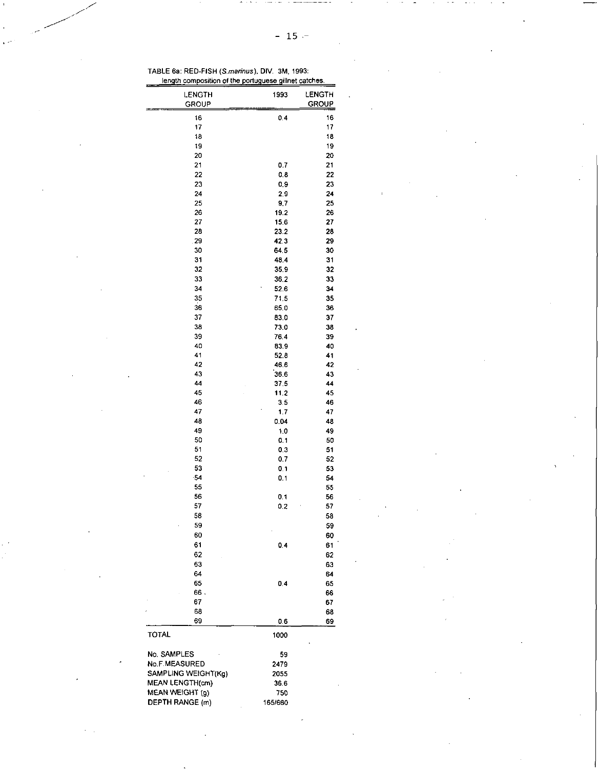TABLE 6a: RED-FISH *(S.marinus),* DIV. 3M, 1993: length composition of the portuquese gillnet catches

| <b>LENGTH</b>          | 1993         | LENGTH       |
|------------------------|--------------|--------------|
| GROUP                  |              | <b>GROUP</b> |
| 16                     | 0.4          | 16           |
| 17                     |              | 17           |
| 18                     |              | 18           |
| 19                     |              | 19           |
| 20                     |              | 20           |
| 21                     | 0.7          | 21           |
| 22                     | 0.8          | 22           |
| 23                     | 0.9          | 23           |
| 24                     | 2.9          | 24           |
| 25                     | 9,7          | 25           |
| 26                     | 19.2         | 26           |
| 27                     | 15.6         | 27           |
| 28                     | 23.2         | 28           |
| 29                     | 42.3         | 29           |
| 30                     | 64.5         | 30           |
| 31                     | 48.4         | 31           |
| 32                     | 35.9         | 32           |
| 33                     | 36.2         | 33           |
| 34                     | 52.6         | 34           |
| 35                     | 71.5         | 35           |
| 36                     | 65.0         | 36           |
| 37                     | 83.0         | 37           |
| 38                     | 73.0         | 38           |
| 39                     | 76,4         | 39           |
| 40                     |              | 40           |
| 41                     | 83.9<br>52.8 | 41           |
| 42                     |              |              |
| 43                     | 46.6<br>36.6 | 42           |
| 44                     |              | 43           |
| 45                     | 37.5<br>11.2 | 44<br>45     |
| 46                     | 3.5          | 46           |
| 47                     |              |              |
| 48                     | 1.7          | 47           |
|                        | 0.04         | 48           |
| 49<br>50               | 1.0          | 49           |
| 51                     | 0.1          | 50           |
|                        | 0.3          | 51           |
| 52                     | 0.7          | 52           |
| 53                     | 0.1          | 53           |
| $-54$                  | 0.1          | 54           |
| 55                     |              | 55           |
| 56                     | 0.1          | 56           |
| 57                     | 0,2          | 57           |
| 58                     |              | 58           |
| 59                     |              | 59           |
| 60                     |              | 60           |
| 61                     | 0.4          | 61           |
| 62                     |              | 62           |
| 63                     |              | 63           |
| 64                     |              | 64           |
| 65                     | 0.4          | 65           |
| 66.                    |              | 66           |
| 67                     |              | 67           |
| 68                     |              | 68           |
| 69                     | 0.6          | 69           |
| TOTAL                  | 1000         |              |
|                        |              |              |
| No. SAMPLES            | 59           |              |
| <b>No F MEASURED</b>   | 2479         |              |
| SAMPLING WEIGHT(Kg)    | 2055         |              |
| <b>MEAN LENGTH(cm)</b> | 36.6         |              |
| MEAN WEIGHT (g)        | 750          |              |
| <b>DEPTH RANGE (m)</b> | 165/660      |              |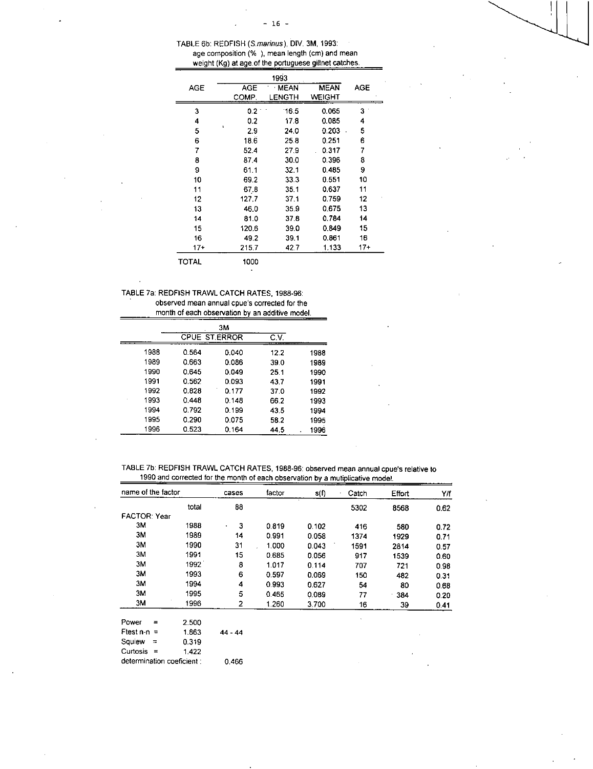| TABLE 6b: REDFISH (S.marinus), DIV, 3M, 1993.         |
|-------------------------------------------------------|
| age composition (%), mean length (cm) and mean        |
| weight (Kg) at age of the portuguese gillnet catches. |

|       |            | 1993   |               |     |
|-------|------------|--------|---------------|-----|
| AGE   | <b>AGE</b> | MEAN   | <b>MEAN</b>   | AGE |
|       | COMP.      | LENGTH | <b>WEIGHT</b> |     |
| 3     | 0.2        | 16.5   | 0.065         | 3   |
| 4     | 0.2        | 17.8   | 0.085         | 4   |
| 5     | 2.9        | 24.0   | 0.203         | 5   |
| 6     | 18.6       | 25.8   | 0.251         | 6   |
| 7     | 52.4       | 27.9   | 0.317         | 7   |
| 8     | 87.4       | 30.0   | 0.396         | 8   |
| 9     | 61.1       | 32.1   | 0.485         | 9   |
| 10    | 69.2       | 33.3   | 0551          | 10  |
| 11    | 67.8       | 35.1   | 0.637         | 11  |
| 12    | 127,7      | 37.1   | 0.759         | 12  |
| 13    | 46.0       | 35.9   | 0.675         | 13  |
| 14    | 81.0       | 37.8   | 0.784         | 14  |
| 15    | 120.6      | 39.0   | 0.849         | 15  |
| 16    | 49.2       | 39.1   | 0861          | 16  |
| $17+$ | 215.7      | 42.7   | 1.133         | 17+ |
| TOTAL | 1000       |        |               |     |

TABLE *7a:* REDFISH TRAWL CATCH RATES, 1988-96: observed mean annual cpue's corrected for the month of each observation by an additive model.

|      |                      | ЗM    |      |      |
|------|----------------------|-------|------|------|
|      | <b>CPUE ST.ERROR</b> |       | C.V. |      |
| 1988 | 0.564                | 0.040 | 12.2 | 1988 |
| 1989 | 0.663                | 0.086 | 39.0 | 1989 |
| 1990 | 0.645                | 0.049 | 25.1 | 1990 |
| 1991 | 0.562                | 0.093 | 43.7 | 1991 |
| 1992 | 0.828                | 0.177 | 37.0 | 1992 |
| 1993 | 0.448                | 0.148 | 66.2 | 1993 |
| 1994 | 0.792                | 0.199 | 43.5 | 1994 |
| 1995 | 0.290                | 0.075 | 58.2 | 1995 |
| 1996 | 0.523                | 0.164 | 44.5 | 1996 |

## TABLE 7b: REDFISH TRAWL CATCH RATES, 1988-96: observed mean annual cpue's relative to 1990 and corrected for the month of each observation by a mutiplicative model.

| name of the factor  |          |                            | cases     | factor | s(f)  | Catch | <b>Effort</b> | YΜ   |
|---------------------|----------|----------------------------|-----------|--------|-------|-------|---------------|------|
|                     |          | total                      | 88        |        |       | 5302  | 8568          | 0.62 |
| <b>FACTOR: Year</b> |          |                            |           |        |       |       |               |      |
| 3M                  |          | 1988                       | 3         | 0.819  | 0.102 | 416   | 580           | 0.72 |
| 3М                  |          | 1989                       | 14        | 0.991  | 0.058 | 1374  | 1929          | 0.71 |
| ЗΜ                  |          | 1990                       | 31        | 1,000  | 0.043 | 1591  | 2814          | 0.57 |
| 3M                  |          | 1991                       | 15        | 0.685  | 0.056 | 917   | 1539          | 0.60 |
| зм                  |          | 1992                       | 8         | 1.017  | 0.114 | 707   | 721           | 0.98 |
| зм                  |          | 1993                       | 6         | 0.597  | 0.069 | 150   | 482           | 0.31 |
| зм                  |          | 1994                       | 4         | 0.993  | 0.627 | 54    | 80            | 0.68 |
| 3М                  |          | 1995                       | 5         | 0.465  | 0.089 | 77    | 384           | 0.20 |
| 3M                  |          | 1996                       | 2         | 1.260  | 3.700 | 16    | 39            | 0.41 |
| Power               | Ξ        | 2.500                      |           |        |       |       |               |      |
| Ftest $n - n =$     |          | 1.863                      | $44 - 44$ |        |       |       |               |      |
| Squiew              | $\equiv$ | 0.319                      |           |        |       |       |               |      |
| <b>Curtosis</b>     | $=$      | 1.422                      |           |        |       |       |               |      |
|                     |          | determination coeficient : | 0.466     |        |       |       |               |      |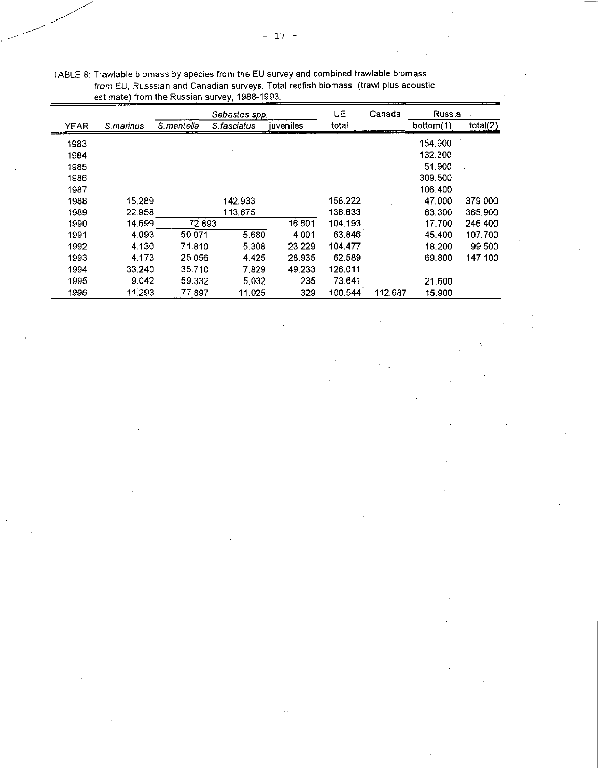|             |            |            | Sebastes spp. |           | UE      | Canada  | Russia    |          |
|-------------|------------|------------|---------------|-----------|---------|---------|-----------|----------|
| <b>YEAR</b> | S. marinus | S.mentella | S fasciatus   | iuveniles | total   |         | bottom(1) | total(2) |
| 1983        |            |            |               |           |         |         | 154.900   |          |
| 1984        |            |            |               |           |         |         | 132.300   |          |
| 1985        |            |            |               |           |         |         | 51.900    |          |
| 1986        |            |            |               |           |         |         | 309.500   |          |
| 1987        |            |            |               |           |         |         | 106.400   |          |
| 1988        | 15.289     |            | 142.933       |           | 158.222 |         | 47.000    | 379,000  |
| 1989        | 22.958     |            | 113.675       |           | 136.633 |         | 83.300    | 365,900  |
| 1990        | 14.699     | 72.893     |               | 16,601    | 104.193 |         | 17.700    | 246,400  |
| 1991        | 4.093      | 50.071     | 5.680         | 4.001     | 63.846  |         | 45.400    | 107.700  |
| 1992        | 4.130      | 71.810     | 5.308         | 23.229    | 104.477 |         | 18.200    | 99.500   |
| 1993        | 4.173      | 25.056     | 4.425         | 28.935    | 62.589  |         | 69,800    | 147.100  |
| 1994        | 33.240     | 35.710     | 7.829         | 49.233    | 126.011 |         |           |          |
| 1995        | 9.042      | 59.332     | 5.032         | 235       | 73.641  |         | 21.600    |          |
| 1996        | 11.293     | 77.897     | 11:025        | 329       | 100.544 | 112.687 | 15,900    |          |

 $\mathbb{Z}_2$ 

TABLE 8: Trawlable biomass by species from the EU survey and combined trawlable biomass *from* EU, Russsian and Canadian surveys. Total redfish biomass (trawl plus acoustic estimate) from the Russian survey, 1988-1993.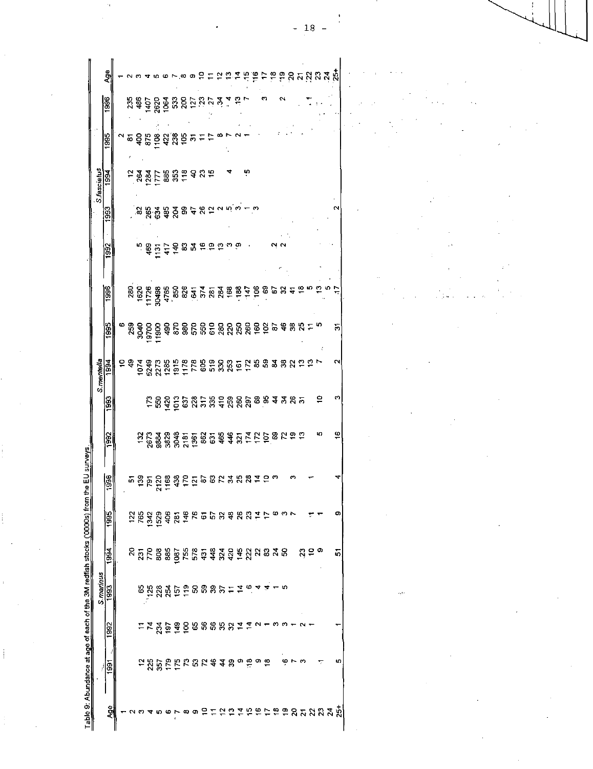|                    | Age                |  |    |                                                                                                                                                                                                                                                                                                                         |                                     |  |  |      |        |                |   | ទទួនកម្មងង្គ                                              |               |                          |          |   |         |      |  |
|--------------------|--------------------|--|----|-------------------------------------------------------------------------------------------------------------------------------------------------------------------------------------------------------------------------------------------------------------------------------------------------------------------------|-------------------------------------|--|--|------|--------|----------------|---|-----------------------------------------------------------|---------------|--------------------------|----------|---|---------|------|--|
|                    | 1996               |  |    | <b>28802888228</b>                                                                                                                                                                                                                                                                                                      |                                     |  |  | 5.84 |        |                |   |                                                           |               |                          |          |   |         |      |  |
|                    | 1995               |  |    | <u>្ធ ទី នី ទី អ្វី ដូ ទី ម  =</u>                                                                                                                                                                                                                                                                                      |                                     |  |  |      |        |                |   |                                                           |               |                          |          |   |         |      |  |
| S. rasciatus       | $\frac{1994}{ }$   |  |    | <b>GREE BREE BREE</b>                                                                                                                                                                                                                                                                                                   |                                     |  |  |      |        | ņ              |   |                                                           |               |                          |          |   |         |      |  |
|                    | agg                |  |    | ិន និង និង ទី ខូ ខូ ខូ ខែ <sub>ស ស ស</sub> ជ ជ<br>ិន និង និង ទី ខូ ខូ ខូ ភូ ភូ ភូ ភូ ភូ ភូ                                                                                                                                                                                                                              |                                     |  |  |      |        |                |   |                                                           |               |                          |          |   | ົ       |      |  |
|                    | 1992               |  |    | <b>DESSASS</b>                                                                                                                                                                                                                                                                                                          |                                     |  |  |      |        |                |   |                                                           |               |                          |          |   |         |      |  |
|                    | <b>S86</b>         |  |    |                                                                                                                                                                                                                                                                                                                         |                                     |  |  |      |        |                |   |                                                           | $\frac{1}{2}$ |                          |          |   |         |      |  |
|                    | $\frac{1995}{200}$ |  |    | 888<br>888<br>888<br>898                                                                                                                                                                                                                                                                                                | ទីខ្លួនខ្លួនទីនឹងខ្លួនទីទីខ្លួនងូង  |  |  |      |        |                |   |                                                           |               |                          | Ξ        |   | 5       |      |  |
| S.mentella<br>1994 |                    |  |    |                                                                                                                                                                                                                                                                                                                         |                                     |  |  |      |        |                |   |                                                           |               |                          |          |   |         |      |  |
|                    | <b>1993</b>        |  |    | ្ត្រី ភូមិន្ទ្រី ដូង ម៉ូងូម៉ូងូន និង ម៉ូងូម៉ូ                                                                                                                                                                                                                                                                           |                                     |  |  |      |        |                |   |                                                           |               |                          |          | ₽ |         |      |  |
|                    | <b>SSC</b>         |  |    | <b>223888558858445556668</b>                                                                                                                                                                                                                                                                                            |                                     |  |  |      |        |                |   |                                                           |               |                          |          | ю | ۽       |      |  |
|                    | <u>န္တ</u>         |  |    | <b>ចន្ទិ</b> ទីទីនឹងទី១១និងន                                                                                                                                                                                                                                                                                            |                                     |  |  |      |        | $\mathbb{Z}^2$ | ≘ |                                                           |               |                          |          |   |         |      |  |
|                    | န္တြ               |  | 28 | អ្នក<br>អ្នក មិន អ្នក ក្នុង អ្នក ដូច តូ ស្រុក តូ ស្រុក                                                                                                                                                                                                                                                                  |                                     |  |  |      |        |                |   |                                                           |               |                          |          |   | O)      |      |  |
|                    | $\frac{1}{3}$      |  |    | <b>85588656558486558886</b>                                                                                                                                                                                                                                                                                             |                                     |  |  |      |        |                |   |                                                           |               |                          | အ္ဒ္ = • |   | 5       |      |  |
| S. marinus<br>1993 |                    |  | 8  | 125                                                                                                                                                                                                                                                                                                                     | <b>ស្តី ក្នុង ក្នុង ក្នុង ក្នុង</b> |  |  |      |        |                |   |                                                           |               |                          |          |   |         | بهيد |  |
|                    | $\frac{1}{3}$      |  |    | $-5$                                                                                                                                                                                                                                                                                                                    | 3990                                |  |  |      | 888887 | $\mathbf{r}$   |   |                                                           |               |                          |          |   |         |      |  |
|                    | ∕∣ଞ୍               |  |    | $\begin{array}{l} 2 \  \  \, 4 \  \  \, 6 \  \  \, 7 \  \  \, 6 \  \  \, 7 \  \  \, 6 \  \  \, 7 \  \  \, 8 \  \  \, 7 \  \  \, 8 \  \  \, 9 \  \  \, 9 \  \  \, 6 \  \  \, 9 \  \  \, 9 \  \  \, 9 \  \  \, 9 \  \  \, 9 \  \  \, 9 \  \  \, 9 \  \  \, 9 \  \  \, 9 \  \  \, 9 \  \  \, 9 \  \  \, 9 \  \  \, 9 \  \$ |                                     |  |  |      |        |                |   |                                                           |               | $\dot{\phi} \sim \omega$ |          |   | ю       |      |  |
|                    | å                  |  |    |                                                                                                                                                                                                                                                                                                                         | <b>Anor</b> cod                     |  |  |      | 552667 |                |   | $\overleftarrow{\phantom{a}}\overrightarrow{\phantom{a}}$ | $\mathbf{S}$  |                          |          |   | ភ្លងនិង |      |  |

 $-18 -$ 

 $\mathcal{L}^{\text{max}}_{\text{max}}$ 

 $\frac{1}{2}$ 

 $\mathbf{r}$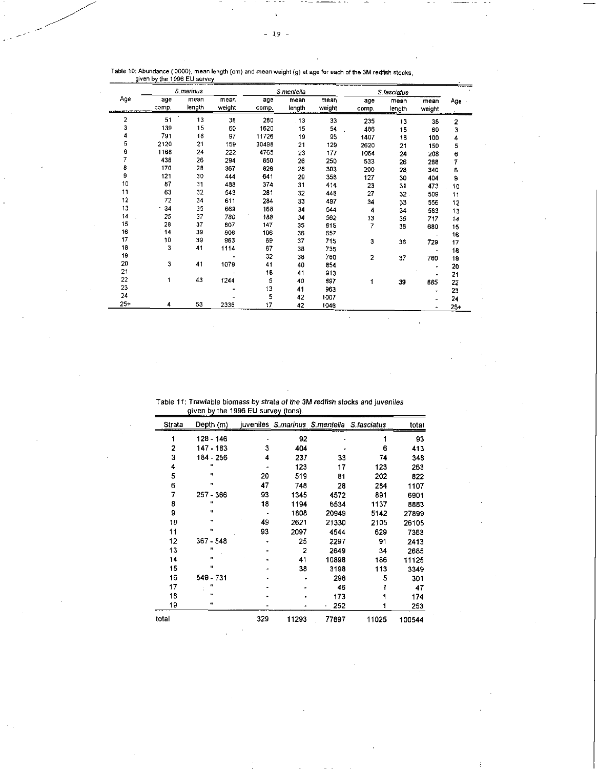|          |       | S.marinus |        |         | S.mentella |        |       | S.fasciatus     |        |        |
|----------|-------|-----------|--------|---------|------------|--------|-------|-----------------|--------|--------|
| Age      | age   | mean      | mean   | age     | mean       | mean   | age   | mean            | mean   | Age -  |
|          | comp. | length    | weight | COITID. | length     | weight | comp. | length          | weight |        |
| 2        | 51    | 13        | 38     | 260     | 13         | 33     | 235   | 13              | 38     | 2      |
| 3        | 139   | 15        | 60     | 1620    | 15         | 54     | 486   | 15              | 60     | з      |
| 4        | 791   | 18        | 97     | 11726   | 19         | 95     | 1407  | 18              | 100    | 4      |
| 5        | 2120  | 21        | 159    | 30498   | 21         | 129    | 2620  | 21              | 150    | 5      |
| 6        | 1168  | 24        | 222    | 4765    | 23         | 177    | 1064  | 24              | 208    | 6      |
| 7        | 438   | 26        | 294    | 850     | 26         | 250    | 533   | 26              | 288    | 7      |
| 8        | 170   | 28        | 367    | 826     | 28         | 303    | 200   | 28              | 340    | 8      |
| 9        | 121   | 30        | 444    | 641     | 29         | 358    | 127   | 30              | 404    | 9      |
| 10       | 87    | 31        | 488    | 374     | 31         | 414    | 23    | 31              | 473    | 10     |
| 11       | 63    | 32        | 543    | 281     | 32         | 448    | 27    | 32 <sub>1</sub> | 509    | 11     |
| 12       | 72    | 34        | 611    | 284     | 33         | 497    | 34    | 33              | 556    | 12     |
| 13       | 34    | 35        | 669    | 168     | 34         | 544    | 4     | 34              | 583    | 13     |
| 14<br>J. | 25    | 37        | 780    | 188     | 34         | 582    | 13    | 36              | 717    | 14     |
| 15       | 28    | 37        | 807    | 147     | 35         | 615    | 7     | 36              | 680    | 15     |
| 16       | 14    | 39        | 908    | 106     | 36         | 657    |       |                 |        | 16     |
| 17       | 10    | 39        | 963    | 69      | 37         | 715    | 3     | 36              | 729    | 17     |
| 18       | 3     | 41        | 1114   | 67      | 38         | 735    |       |                 |        | 18     |
| 19       |       |           |        | 32      | 38         | 760    | 2     | 37              | 760    | 19     |
| 20       | 3     | 41        | 1079   | 41      | 40         | 854    |       |                 |        | 20     |
| 21       |       |           |        | 18      | 41         | 913    |       |                 |        | 21     |
| 22       | 1     | 43        | 1244   | 5       | 40         | 697    | 1     | 39              | 885    | 22     |
| 23       |       |           |        | 13      | 41         | 963    |       |                 |        | 23     |
| 24       |       |           |        | 5       | 42         | 1007   |       |                 |        | 24     |
| $25+$    | 4     | 53        | 2336   | 17      | 42         | 1046   |       |                 |        | $25 -$ |

## Table 10: Abundance ('0000), mean length (cm) and mean weight (g) at age for each of the 3M redfish stocks<br>given by the 1996 EU survey.

Table 11: Trawlable biomass by *strata of the 3M redfish stocks and juveniles*  given by the 1996 EU survey (tons).

| Strata | Depth (m)   |     |       | juveniles S.marinus S.mentella S.fasciatus |       | total  |
|--------|-------------|-----|-------|--------------------------------------------|-------|--------|
| 1      | 128 - 146   |     | 92    |                                            |       | 93     |
| 2      | 147 - 183   | 3   | 404   |                                            | 6     | 413    |
| 3      | 184 - 256   | 4   | 237   | 33                                         | 74    | 348    |
| 4      |             |     | 123   | 17                                         | 123   | 263    |
| 5      | IJ          | 20  | 519   | 81                                         | 202   | 822    |
| 6      | ŋ           | 47  | 748   | 28                                         | 284   | 1107   |
| 7      | $257 - 366$ | 93  | 1345  | 4572                                       | 891   | 6901   |
| 8      | n           | 18  | 1194  | 6534                                       | 1137  | 8883   |
| 9      | u           |     | 1808  | 20949                                      | 5142  | 27899  |
| 10     | w           | 49  | 2621  | 21330                                      | 2105  | 26105  |
| 11     | Ħ           | 93  | 2097  | 4544                                       | 629   | 7363   |
| 12     | $367 - 548$ |     | 25    | 2297                                       | 91    | 2413   |
| 13     |             |     | 2     | 2649                                       | 34    | 2685   |
| 14     | n           |     | 41    | 10898                                      | 186   | 11125  |
| 15     | Ħ           |     | 38    | 3198                                       | 113   | 3349   |
| 16     | 549 - 731   |     |       | 296                                        | 5     | 301    |
| 17     | ٢ľ          |     |       | 46                                         |       | 47     |
| 18     | Ħ           |     |       | 173                                        |       | 174    |
| 19     | 41          |     |       | 252                                        |       | 253    |
| total  |             | 329 | 11293 | 77897                                      | 11025 | 100544 |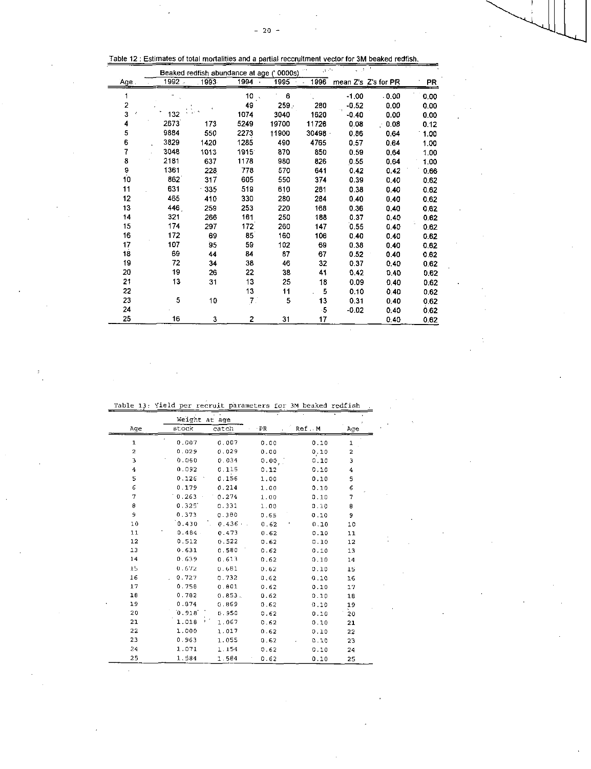| Table 12 : Estimates of total mortalities and a partial recoruitment vector for 3M beaked redfish. |
|----------------------------------------------------------------------------------------------------|
|----------------------------------------------------------------------------------------------------|

|         |          | Beaked redfish abundance at age (' 0000s) |      |         | والرور |         |                     |      |
|---------|----------|-------------------------------------------|------|---------|--------|---------|---------------------|------|
| Age.    | $1992 -$ | 1993                                      | 1994 | 1995    | 1996   |         | mean Z's Z's for PR | PR   |
| 1       |          |                                           | 10   | 6       |        | $-1.00$ | .0.00               | 0.00 |
| 2       |          |                                           | 49   | $259 -$ | 280    | $-0.52$ | 0.00                | 0.00 |
| 3       | 132      |                                           | 1074 | 3040    | 1620   | $-0.40$ | 0.00                | 0.00 |
| 4       | 2673     | 173                                       | 5249 | 19700   | 11726  | 0.08    | 0.08                | 0.12 |
| 5       | 9884     | 550                                       | 2273 | 11900   | 30498  | 0.86    | 0.64                | 1.00 |
| 6       | 3829     | 1420                                      | 1285 | 490     | 4765   | 0.57    | 0.64                | 1.00 |
| 7       | 3048     | 1013                                      | 1915 | 870     | 850    | 0.59    | 0.64                | 1.00 |
| 8       | 2181     | 637                                       | 1178 | 980     | 826    | 0.55    | 0.64                | 1.00 |
| 9<br>10 | 1361     | 228                                       | 778  | 570     | 641    | 0.42    | 0.42                | 0.66 |
|         | 862      | 317                                       | 605  | 550     | 374    | 0.39    | 0.40                | 0.62 |
| 11      | 631      | 335                                       | 519  | 610     | 281    | 0.38    | 0.40                | 0.62 |
| 12      | 465      | 410                                       | 330  | 280     | 284    | 0.40    | 0.40                | 0.62 |
| 13      | 446.     | 259                                       | 253  | 220     | 168    | 0.36    | 0.40                | 0.62 |
| 14      | 321      | 266                                       | 161  | 250     | 188    | 0.37    | 0.40                | 0.62 |
| 15      | 174      | 297                                       | 172  | 260     | 147    | 0.55    | 0.40                | 0.62 |
| 16      | 172      | 69                                        | 85   | 160     | 106    | 0.40    | 0.40                | 0.62 |
| 17      | 107      | 95                                        | 59   | 102     | 69     | 0.38    | 0.40                | 0.62 |
| 18      | 69       | 44                                        | 84   | 87      | 67     | 0.52    | 0.40                | 0.62 |
| 19      | 72       | 34                                        | 38   | 46      | 32     | 0.37    | 0.40                | 0.62 |
| 20      | 19       | 26                                        | 22   | 38      | 41     | 0.42    | 0.40                | 0.62 |
| 21      | 13       | 31                                        | 13   | 25      | 18     | 0.09    | 0,40                | 0.62 |
| 22      |          |                                           | 13   | 11      | 5      | 0.10    | 0.40                | 0.62 |
| 23      | 5        | 10                                        | 7.   | 5       | 13     | 0.31    | 0.40                | 0.62 |
| 24      |          |                                           |      |         | -5     | $-0.02$ | 0.40                | 0.62 |
| 25      | 16       | 3                                         | 2    | 31      | 17     |         | 0.40                | 0.62 |

Table 13: Yield per recruit parameters for 3M beaked redfish .

|                | Weight at age |        |       |       |     |
|----------------|---------------|--------|-------|-------|-----|
| Age            | stock         | catch  | ∙ PR  | Ref.M | Age |
| 1              | 0.007         | 0.007  | 0.00  | 0.10  | 1   |
| $\overline{c}$ | 0.029         | 0.029  | 0.00  | 0.10  | 2   |
| Э              | 0.060         | 0.034  | 0.00, | 0.10  | 3   |
| 4              | 0.092         | 0.115  | 0.12  | 0.10  | 4   |
| 5              | 0.126         | 0.156  | 1.00  | 0.10  | 5   |
| 6              | 0.179         | 0.214  | 1.00  | 0.10  | 6   |
| 7              | 0.263         | 0.274  | 1.00  | 0.10  | 7   |
| 8              | 0.325         | 0.331  | 1.00  | 0.10  | ä   |
| 9              | 0.373         | 0.380  | 0.65  | 0.10  | 9   |
| 10             | 0.430         | 0.436  | 0.62  | 0.10  | 10  |
| 11             | $0.484$ .     | 0.473  | 0.62  | 0.10  | 11  |
| 12             | 0.512         | 0.522  | 0.62  | 0.10  | 12  |
| 13             | 0.631         | 0.500  | 0.62  | 0.10  | 13  |
| 14             | 0.639         | 0.613  | 0.62  | 0.10  | 14  |
| 15             | 0.672         | 0.661  | 0.62  | 0.10  | 15  |
| 16             | 0.727         | 0.732  | 0.62  | 0.10  | 16  |
| 17             | 0.758         | 0.801  | 0.62  | 0.10  | 17  |
| 18             | 0.782         | 0.853. | 0.62  | 0.10  | 18  |
| 19             | 0.874         | 0.869  | 0.62  | 0.10  | 19  |
| 20             | 0.918         | 0.950  | 0.62  | 0.10  | 20  |
| 21             | 1.018         | 1.067  | 0.62  | 0.10  | 21  |
| 22             | 1.000         | 1.017  | 0.62  | 0.10  | 22  |
| 23             | 0.963         | 1.055  | 0.62  | 0.70  | 23  |
| 24             | 1.071         | 1.154  | 0.62  | 0.10  | 24  |
| 25             | 1.584         | 1.584  | 0.62  | 0.10  | 25  |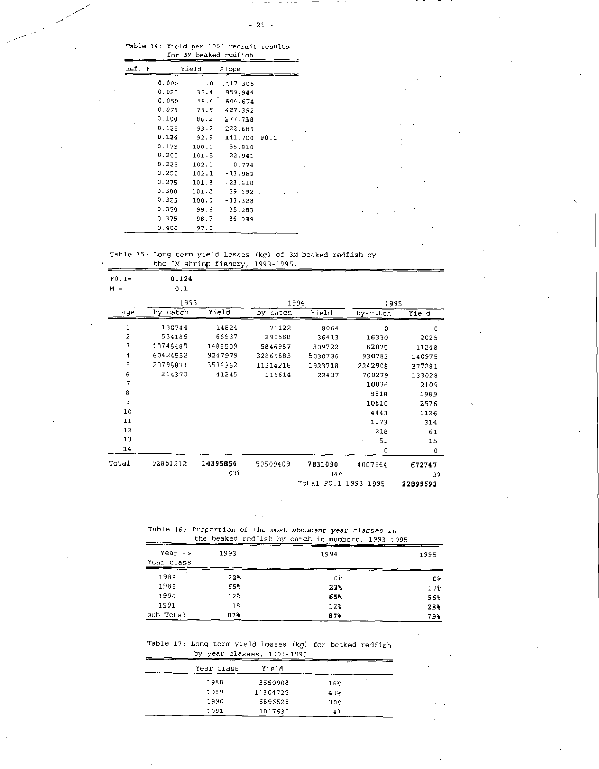$- \sim$   $-$ 

|  |  |                       | Table 14: Yield per 1000 recruit results |
|--|--|-----------------------|------------------------------------------|
|  |  | for 3M beaked redfish |                                          |

| Ref.<br>F |          | Yield | Slope     |      |
|-----------|----------|-------|-----------|------|
|           | 0.000    | 0.0   | 1417.305  |      |
|           | 0.025    | 35.4  | 959.944   |      |
|           | 0.050    | 59.4  | 644.674   |      |
|           | 0.075    | 75.5  | 427.392   |      |
|           | 0.100    | B6.2  | 277.738   |      |
|           | 0.125    | 93.2  | 222.689   |      |
|           | 0.124    | 92.9  | 141.700   | F0.1 |
|           | 0.175    | 100.1 | 55.810    |      |
|           | 0.200    | 101.5 | 22.941    |      |
|           | $-0.225$ | 102.1 | 0.774     |      |
|           | 0.250    | 102.1 | -13.982   |      |
|           | 0.275    | 101.8 | $-23.610$ |      |
|           | 0.300    | 101.2 | $-29.692$ |      |
|           | 0.325    | 100.5 | $-33.328$ |      |
|           | 0.350    | 99.6  | $-35.283$ |      |
|           | 0.375    | 98.7  | $-36.089$ |      |
|           | 0.400    | 97.8  |           |      |

Table 15: Long term yield losses (kg) of 3M beaked redfish by the 3M shrimp fishery, 1993-1995.

| $F0.1 =$       | 0.124    |          |          |                      |          |          |
|----------------|----------|----------|----------|----------------------|----------|----------|
| $M =$          | 0.1      |          |          |                      |          |          |
|                | 1993     |          |          | 1994                 | 1995     |          |
| age            | by-catch | Yield    | by-catch | Yield                | by-catch | Yield    |
| 1              | 130744   | 14824    | 71122    | 8064                 | 0        | 0        |
| $\overline{c}$ | 534186   | 66937    | 290588   | 36413                | 16330    | 2025     |
| 3              | 10748489 | 1488509  | 5846987  | 809722               | 82075    | 11248    |
| 4              | 60424552 | 9247979  | 32869883 | 5030736              | 930783   | 140975   |
| 5              | 20798871 | 3536362  | 11314216 | 1923718              | 2242908  | 377281   |
| 6              | 214370   | 41245    | 116614   | 22437                | 700279   | 133028   |
| 7              |          |          |          |                      | 10076    | 2109     |
| 8              |          |          |          |                      | 8818     | 1989     |
| 9              |          |          |          |                      | 10810    | 2576     |
| 10             |          |          |          |                      | 4443     | 1126     |
| 11             |          |          |          |                      | 1173     | 314      |
| 12             |          |          |          |                      | 218      | 61       |
| 13             |          |          |          |                      | 51       | 15       |
| 14             |          |          |          |                      | $\circ$  | 0        |
| Total          | 92851212 | 14395856 | 50509409 | 7831090              | 4007964  | 672747   |
|                |          | 63%      |          | 34%                  |          | 38       |
|                |          |          |          | Total F0.1 1993-1995 |          | 22899693 |

Table 16: Proportion of the *most abundant* year *classes in*  the beaked redfish by - catch in numbers, 1993-1995

| $Year \rightarrow$<br>Year class | 1993            | 1994 | 1995 |
|----------------------------------|-----------------|------|------|
| 1988                             | 22%             | 0%   | 0%   |
| 1989                             | 65%             | 22%  | 173  |
| 1990                             | 12 <sup>o</sup> | 65%  | 56%  |
| 1991                             | 1%              | 12%  | 23%  |
| sub-Total                        | 87%             | 87%  | 79%  |

Table 17: Long term yield losses (kg) for beaked redfish by year classes, 1993-1995

| Year class | Yield    |                 |  |
|------------|----------|-----------------|--|
| 1988       | 3560908  | ٠<br>16         |  |
| 1989       | 11304725 | 49%             |  |
| 1990       | 6896525  | 30 <sup>2</sup> |  |
| 1991       | 1017635  | 4 음             |  |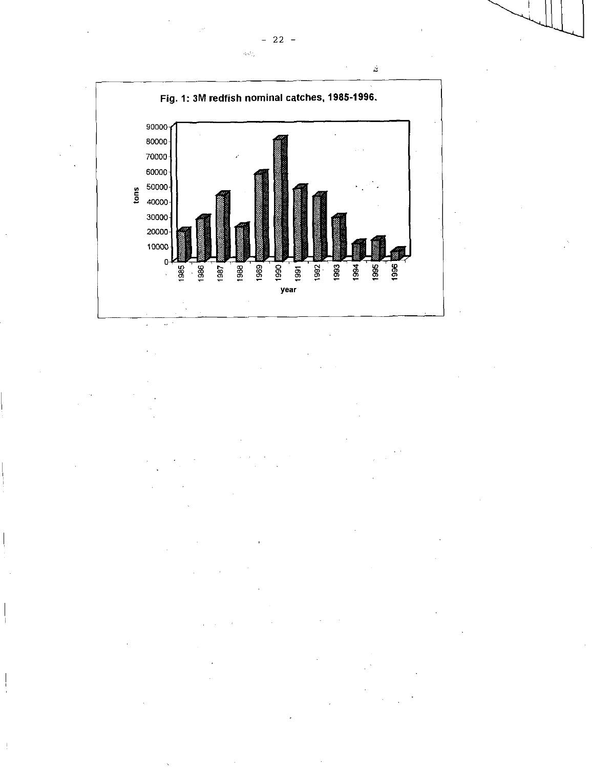

 $\ddot{\phantom{a}}$ 

 $\hat{c}_i^{\dagger} \hat{c}_i^{\dagger}$  ,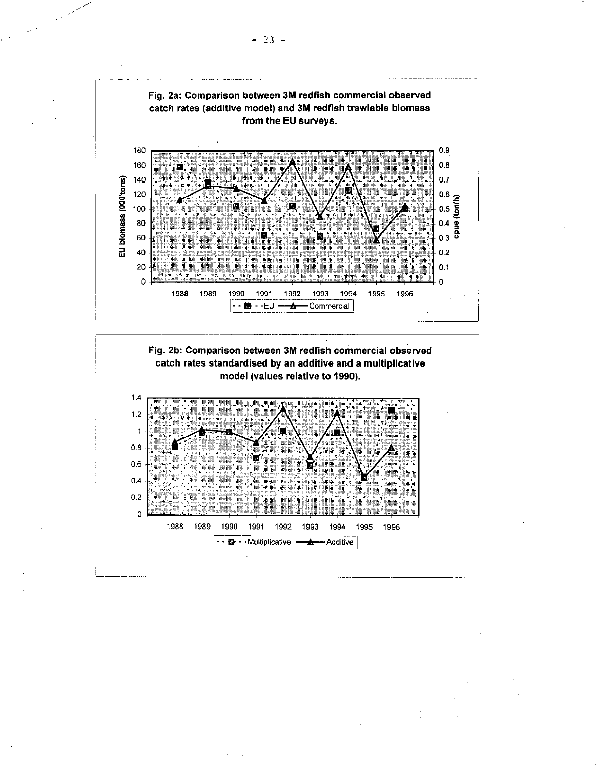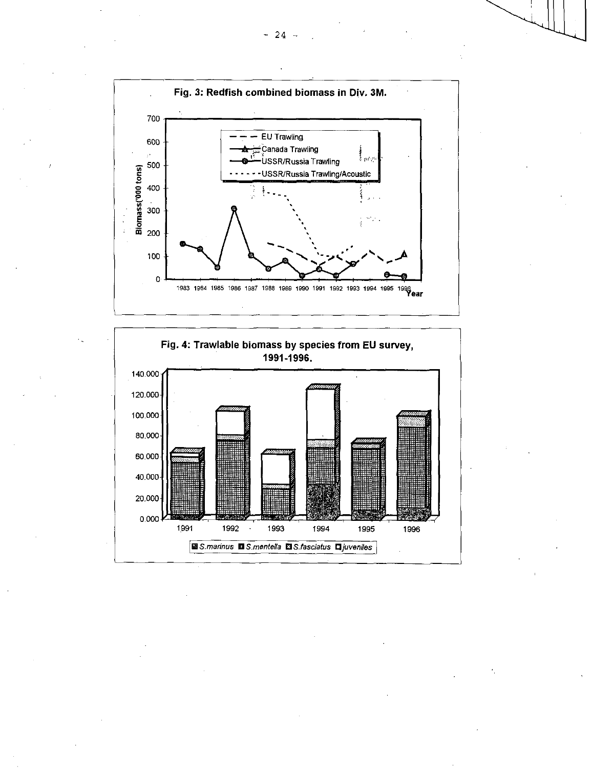